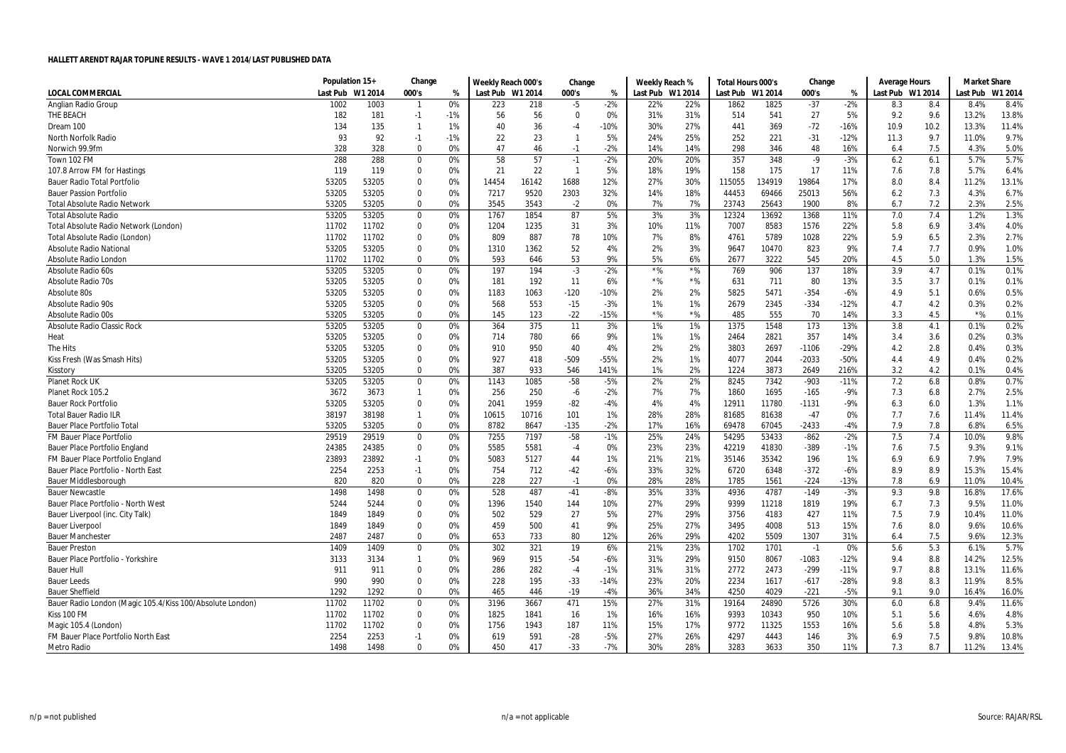|                                                           | Population 15+ |         | Change       |       | Weekly Reach 000's |       | Change       |        | Weekly Reach %   |       | Total Hours 000's |        | Change  |        | <b>Average Hours</b> |      | <b>Market Share</b> |         |
|-----------------------------------------------------------|----------------|---------|--------------|-------|--------------------|-------|--------------|--------|------------------|-------|-------------------|--------|---------|--------|----------------------|------|---------------------|---------|
| <b>LOCAL COMMERCIAL</b>                                   | Last Pub       | W1 2014 | 000's        | %     | Last Pub W1 2014   |       | 000's        | %      | Last Pub W1 2014 |       | Last Pub W1 2014  |        | 000's   | %      | Last Pub W1 2014     |      | Last Pub            | W1 2014 |
| Anglian Radio Group                                       | 1002           | 1003    | $\mathbf{1}$ | 0%    | 223                | 218   | $-5$         | $-2%$  | 22%              | 22%   | 1862              | 1825   | $-37$   | $-2%$  | 8.3                  | 8.4  | 8.4%                | 8.4%    |
| THE BEACH                                                 | 182            | 181     | $-1$         | $-1%$ | 56                 | 56    | $\Omega$     | 0%     | 31%              | 31%   | 514               | 541    | 27      | 5%     | 9.2                  | 9.6  | 13.2%               | 13.8%   |
| Dream 100                                                 | 134            | 135     | $\mathbf{1}$ | 1%    | 40                 | 36    | -4           | $-10%$ | 30%              | 27%   | 441               | 369    | $-72$   | $-16%$ | 10.9                 | 10.2 | 13.3%               | 11.4%   |
| North Norfolk Radio                                       | 93             | 92      | $-1$         | $-1%$ | 22                 | 23    | -1           | 5%     | 24%              | 25%   | 252               | 221    | $-31$   | $-12%$ | 11.3                 | 9.7  | 11.0%               | 9.7%    |
| Norwich 99.9fm                                            | 328            | 328     | $\mathbf 0$  | 0%    | 47                 | 46    | $-1$         | $-2%$  | 14%              | 14%   | 298               | 346    | 48      | 16%    | 6.4                  | 7.5  | 4.3%                | 5.0%    |
| Town 102 FM                                               | 288            | 288     | 0            | 0%    | 58                 | 57    | $-1$         | $-2%$  | 20%              | 20%   | 357               | 348    | $-9$    | $-3%$  | 6.2                  | 6.1  | 5.7%                | 5.7%    |
| 107.8 Arrow FM for Hastings                               | 119            | 119     | 0            | 0%    | 21                 | 22    | $\mathbf{1}$ | 5%     | 18%              | 19%   | 158               | 175    | 17      | 11%    | 7.6                  | 7.8  | 5.7%                | 6.4%    |
| <b>Bauer Radio Total Portfolio</b>                        | 53205          | 53205   | $\Omega$     | 0%    | 14454              | 16142 | 1688         | 12%    | 27%              | 30%   | 115055            | 134919 | 19864   | 17%    | 8.0                  | 8.4  | 11.2%               | 13.1%   |
| <b>Bauer Passion Portfolio</b>                            | 53205          | 53205   | 0            | 0%    | 7217               | 9520  | 2303         | 32%    | 14%              | 18%   | 44453             | 69466  | 25013   | 56%    | 6.2                  | 7.3  | 4.3%                | 6.7%    |
| <b>Total Absolute Radio Network</b>                       | 53205          | 53205   | 0            | 0%    | 3545               | 3543  | $-2$         | 0%     | 7%               | 7%    | 23743             | 25643  | 1900    | 8%     | 6.7                  | 7.2  | 2.3%                | 2.5%    |
| <b>Total Absolute Radio</b>                               | 53205          | 53205   | 0            | 0%    | 1767               | 1854  | 87           | 5%     | 3%               | 3%    | 12324             | 13692  | 1368    | 11%    | 7.0                  | 7.4  | 1.2%                | 1.3%    |
| Total Absolute Radio Network (London)                     | 11702          | 11702   | 0            | 0%    | 1204               | 1235  | 31           | 3%     | 10%              | 11%   | 7007              | 8583   | 1576    | 22%    | 5.8                  | 6.9  | 3.4%                | 4.0%    |
| Total Absolute Radio (London)                             | 11702          | 11702   | $\Omega$     | 0%    | 809                | 887   | 78           | 10%    | 7%               | 8%    | 4761              | 5789   | 1028    | 22%    | 5.9                  | 6.5  | 2.3%                | 2.7%    |
| <b>Absolute Radio National</b>                            | 53205          | 53205   | 0            | 0%    | 1310               | 1362  | 52           | 4%     | 2%               | 3%    | 9647              | 10470  | 823     | 9%     | 7.4                  | 7.7  | 0.9%                | 1.0%    |
| Absolute Radio London                                     | 11702          | 11702   | $\Omega$     | 0%    | 593                | 646   | 53           | 9%     | 5%               | 6%    | 2677              | 3222   | 545     | 20%    | 4.5                  | 5.0  | 1.3%                | 1.5%    |
| Absolute Radio 60s                                        | 53205          | 53205   | $\Omega$     | 0%    | 197                | 194   | $-3$         | $-2%$  | $*$ %            | $*$ % | 769               | 906    | 137     | 18%    | 3.9                  | 4.7  | 0.1%                | 0.1%    |
| <b>Absolute Radio 70s</b>                                 | 53205          | 53205   | 0            | 0%    | 181                | 192   | 11           | 6%     | $*$ %            | $*$ % | 631               | 711    | 80      | 13%    | 3.5                  | 3.7  | 0.1%                | 0.1%    |
| Absolute 80s                                              | 53205          | 53205   | 0            | 0%    | 1183               | 1063  | $-120$       | $-10%$ | 2%               | 2%    | 5825              | 5471   | $-354$  | $-6%$  | 4.9                  | 5.1  | 0.6%                | 0.5%    |
| Absolute Radio 90s                                        | 53205          | 53205   | 0            | 0%    | 568                | 553   | $-15$        | $-3%$  | 1%               | 1%    | 2679              | 2345   | $-334$  | $-12%$ | 4.7                  | 4.2  | 0.3%                | 0.2%    |
| Absolute Radio 00s                                        | 53205          | 53205   | 0            | 0%    | 145                | 123   | $-22$        | $-15%$ | $*$ %            | $*$ % | 485               | 555    | 70      | 14%    | 3.3                  | 4.5  | $*$ %               | 0.1%    |
| <b>Absolute Radio Classic Rock</b>                        | 53205          | 53205   | $\mathbf 0$  | 0%    | 364                | 375   | 11           | 3%     | 1%               | 1%    | 1375              | 1548   | 173     | 13%    | 3.8                  | 4.1  | 0.1%                | 0.2%    |
| Heat                                                      | 53205          | 53205   | 0            | 0%    | 714                | 780   | 66           | 9%     | 1%               | 1%    | 2464              | 2821   | 357     | 14%    | 3.4                  | 3.6  | 0.2%                | 0.3%    |
| The Hits                                                  | 53205          | 53205   | 0            | 0%    | 910                | 950   | 40           | 4%     | 2%               | 2%    | 3803              | 2697   | $-1106$ | $-29%$ | 4.2                  | 2.8  | 0.4%                | 0.3%    |
| Kiss Fresh (Was Smash Hits)                               | 53205          | 53205   | $\Omega$     | 0%    | 927                | 418   | $-509$       | $-55%$ | 2%               | 1%    | 4077              | 2044   | $-2033$ | $-50%$ | 4.4                  | 4.9  | 0.4%                | 0.2%    |
| Kisstory                                                  | 53205          | 53205   | 0            | 0%    | 387                | 933   | 546          | 141%   | 1%               | 2%    | 1224              | 3873   | 2649    | 216%   | 3.2                  | 4.2  | 0.1%                | 0.4%    |
| <b>Planet Rock UK</b>                                     | 53205          | 53205   | $\Omega$     | 0%    | 1143               | 1085  | $-58$        | $-5%$  | 2%               | 2%    | 8245              | 7342   | $-903$  | $-11%$ | 7.2                  | 6.8  | 0.8%                | 0.7%    |
| Planet Rock 105.2                                         | 3672           | 3673    | $\mathbf{1}$ | 0%    | 256                | 250   | -6           | $-2%$  | 7%               | 7%    | 1860              | 1695   | $-165$  | $-9%$  | 7.3                  | 6.8  | 2.7%                | 2.5%    |
| <b>Bauer Rock Portfolio</b>                               | 53205          | 53205   | 0            | 0%    | 2041               | 1959  | $-82$        | $-4%$  | 4%               | 4%    | 12911             | 11780  | $-1131$ | $-9%$  | 6.3                  | 6.0  | 1.3%                | 1.1%    |
| <b>Total Bauer Radio ILR</b>                              | 38197          | 38198   | $\mathbf{1}$ | 0%    | 10615              | 10716 | 101          | 1%     | 28%              | 28%   | 81685             | 81638  | $-47$   | 0%     | 7.7                  | 7.6  | 11.4%               | 11.4%   |
| <b>Bauer Place Portfolio Tota</b>                         | 53205          | 53205   | 0            | 0%    | 8782               | 8647  | $-135$       | -2%    | 17%              | 16%   | 69478             | 67045  | $-2433$ | $-4%$  | 7.9                  | 7.8  | 6.8%                | 6.5%    |
| <b>FM Bauer Place Portfolio</b>                           | 29519          | 29519   | 0            | 0%    | 7255               | 7197  | $-58$        | $-1%$  | 25%              | 24%   | 54295             | 53433  | $-862$  | $-2%$  | 7.5                  | 7.4  | 10.0%               | 9.8%    |
| Bauer Place Portfolio England                             | 24385          | 24385   | $\mathbf 0$  | 0%    | 5585               | 5581  | $-4$         | 0%     | 23%              | 23%   | 42219             | 41830  | $-389$  | -1%    | 7.6                  | 7.5  | 9.3%                | 9.1%    |
| FM Bauer Place Portfolio England                          | 23893          | 23892   | $-1$         | 0%    | 5083               | 5127  | 44           | 1%     | 21%              | 21%   | 35146             | 35342  | 196     | 1%     | 6.9                  | 6.9  | 7.9%                | 7.9%    |
| Bauer Place Portfolio - North East                        | 2254           | 2253    | $-1$         | 0%    | 754                | 712   | $-42$        | $-6%$  | 33%              | 32%   | 6720              | 6348   | $-372$  | $-6%$  | 8.9                  | 8.9  | 15.3%               | 15.4%   |
| <b>Bauer Middlesborough</b>                               | 820            | 820     | $\mathbf 0$  | 0%    | 228                | 227   | $-1$         | 0%     | 28%              | 28%   | 1785              | 1561   | $-224$  | $-13%$ | 7.8                  | 6.9  | 11.0%               | 10.4%   |
| <b>Bauer Newcastle</b>                                    | 1498           | 1498    | 0            | 0%    | 528                | 487   | $-41$        | $-8%$  | 35%              | 33%   | 4936              | 4787   | $-149$  | $-3%$  | 9.3                  | 9.8  | 16.8%               | 17.6%   |
| Bauer Place Portfolio - North West                        | 5244           | 5244    | $\mathbf 0$  | 0%    | 1396               | 1540  | 144          | 10%    | 27%              | 29%   | 9399              | 11218  | 1819    | 19%    | 6.7                  | 7.3  | 9.5%                | 11.0%   |
| Bauer Liverpool (inc. City Talk)                          | 1849           | 1849    | 0            | 0%    | 502                | 529   | 27           | 5%     | 27%              | 29%   | 3756              | 4183   | 427     | 11%    | 7.5                  | 7.9  | 10.4%               | 11.0%   |
| <b>Bauer Liverpool</b>                                    | 1849           | 1849    | 0            | 0%    | 459                | 500   | 41           | 9%     | 25%              | 27%   | 3495              | 4008   | 513     | 15%    | 7.6                  | 8.0  | 9.6%                | 10.6%   |
| <b>Bauer Manchester</b>                                   | 2487           | 2487    | 0            | 0%    | 653                | 733   | 80           | 12%    | 26%              | 29%   | 4202              | 5509   | 1307    | 31%    | 6.4                  | 7.5  | 9.6%                | 12.3%   |
| <b>Bauer Preston</b>                                      | 1409           | 1409    | $\mathbf 0$  | 0%    | 302                | 321   | 19           | 6%     | 21%              | 23%   | 1702              | 1701   | $-1$    | 0%     | 5.6                  | 5.3  | 6.1%                | 5.7%    |
| Bauer Place Portfolio - Yorkshire                         | 3133           | 3134    | $\mathbf{1}$ | 0%    | 969                | 915   | $-54$        | $-6%$  | 31%              | 29%   | 9150              | 8067   | $-1083$ | $-12%$ | 9.4                  | 8.8  | 14.2%               | 12.5%   |
| <b>Bauer Hull</b>                                         | 911            | 911     | 0            | 0%    | 286                | 282   | $-4$         | $-1%$  | 31%              | 31%   | 2772              | 2473   | -299    | $-11%$ | 9.7                  | 8.8  | 13.1%               | 11.6%   |
| <b>Bauer Leeds</b>                                        | 990            | 990     | $\Omega$     | 0%    | 228                | 195   | $-33$        | $-14%$ | 23%              | 20%   | 2234              | 1617   | $-617$  | $-28%$ | 9.8                  | 8.3  | 11.9%               | 8.5%    |
| <b>Bauer Sheffield</b>                                    | 1292           | 1292    | 0            | 0%    | 465                | 446   | $-19$        | $-4%$  | 36%              | 34%   | 4250              | 4029   | $-221$  | $-5%$  | 9.1                  | 9.0  | 16.4%               | 16.0%   |
| Bauer Radio London (Magic 105.4/Kiss 100/Absolute London) | 11702          | 11702   | 0            | 0%    | 3196               | 3667  | 471          | 15%    | 27%              | 31%   | 19164             | 24890  | 5726    | 30%    | 6.0                  | 6.8  | 9.4%                | 11.6%   |
| Kiss 100 FM                                               | 11702          | 11702   | $\Omega$     | 0%    | 1825               | 1841  | 16           | 1%     | 16%              | 16%   | 9393              | 10343  | 950     | 10%    | 5.1                  | 5.6  | 4.6%                | 4.8%    |
| Magic 105.4 (London)                                      | 11702          | 11702   | $\mathbf 0$  | 0%    | 1756               | 1943  | 187          | 11%    | 15%              | 17%   | 9772              | 11325  | 1553    | 16%    | 5.6                  | 5.8  | 4.8%                | 5.3%    |
| FM Bauer Place Portfolio North East                       | 2254           | 2253    | $-1$         | 0%    | 619                | 591   | $-28$        | $-5%$  | 27%              | 26%   | 4297              | 4443   | 146     | 3%     | 6.9                  | 7.5  | 9.8%                | 10.8%   |
| <b>Metro Radio</b>                                        | 1498           | 1498    | $\Omega$     | በ%    | 450                | 417   | $-33$        | $-7%$  | 30%              | 28%   | 3283              | 3633   | 350     | 11%    | 7.3                  | 8.7  | 11.2%               | 13.4%   |
|                                                           |                |         |              |       |                    |       |              |        |                  |       |                   |        |         |        |                      |      |                     |         |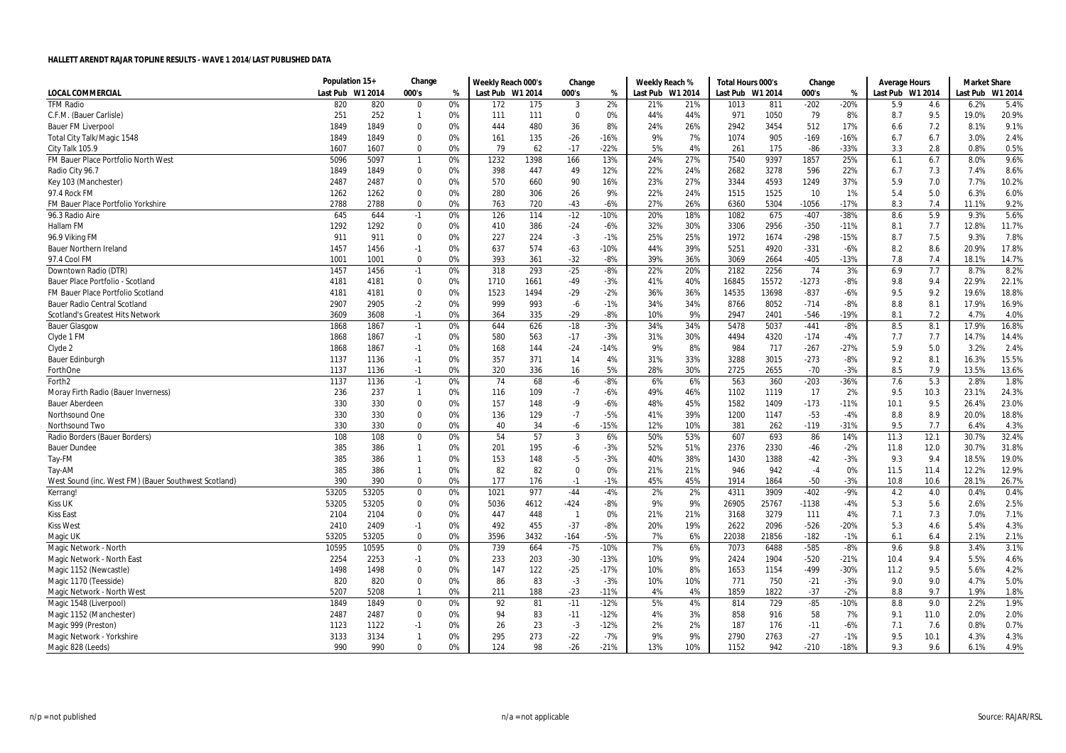|                                                      | Population 15+ |         | Change         |    | Weekly Reach 000's |      | Change         |        | Weekly Reach %   |     | Total Hours 000's |       | Change  |        | Average Hours    |      | <b>Market Share</b> |         |
|------------------------------------------------------|----------------|---------|----------------|----|--------------------|------|----------------|--------|------------------|-----|-------------------|-------|---------|--------|------------------|------|---------------------|---------|
| <b>LOCAL COMMERCIAL</b>                              | Last Pub       | W1 2014 | 000's          | %  | Last Pub W1 2014   |      | 000's          | %      | Last Pub W1 2014 |     | Last Pub W1 2014  |       | 000's   | %      | Last Pub W1 2014 |      | Last Pub            | W1 2014 |
| <b>TFM Radio</b>                                     | 820            | 820     | $\mathbf 0$    | 0% | 172                | 175  | 3              | 2%     | 21%              | 21% | 1013              | 811   | $-202$  | $-20%$ | 5.9              | 4.6  | 6.2%                | 5.4%    |
| C.F.M. (Bauer Carlisle)                              | 251            | 252     | $\mathbf{1}$   | 0% | 111                | 111  | 0              | 0%     | 44%              | 44% | 971               | 1050  | 79      | 8%     | 8.7              | 9.5  | 19.0%               | 20.9%   |
| <b>Bauer FM Liverpool</b>                            | 1849           | 1849    | $\Omega$       | 0% | 444                | 480  | 36             | 8%     | 24%              | 26% | 2942              | 3454  | 512     | 17%    | 6.6              | 7.2  | 8.1%                | 9.1%    |
| Total City Talk/Magic 1548                           | 1849           | 1849    | 0              | 0% | 161                | 135  | $-26$          | $-16%$ | 9%               | 7%  | 1074              | 905   | $-169$  | $-16%$ | 6.7              | 6.7  | 3.0%                | 2.4%    |
| City Talk 105.9                                      | 1607           | 1607    | $\mathbf 0$    | 0% | 79                 | 62   | $-17$          | $-22%$ | 5%               | 4%  | 261               | 175   | $-86$   | $-33%$ | 3.3              | 2.8  | 0.8%                | 0.5%    |
| FM Bauer Place Portfolio North West                  | 5096           | 5097    | $\overline{1}$ | 0% | 1232               | 1398 | 166            | 13%    | 24%              | 27% | 7540              | 9397  | 1857    | 25%    | 6.1              | 6.7  | 8.0%                | 9.6%    |
| Radio City 96.7                                      | 1849           | 1849    | $\mathbf 0$    | 0% | 398                | 447  | 49             | 12%    | 22%              | 24% | 2682              | 3278  | 596     | 22%    | 6.7              | 7.3  | 7.4%                | 8.6%    |
| Key 103 (Manchester)                                 | 2487           | 2487    | $\mathbf{0}$   | 0% | 570                | 660  | 90             | 16%    | 23%              | 27% | 3344              | 4593  | 1249    | 37%    | 5.9              | 7.0  | 7.7%                | 10.2%   |
| 97.4 Rock FM                                         | 1262           | 1262    | $\mathbf 0$    | 0% | 280                | 306  | 26             | 9%     | 22%              | 24% | 1515              | 1525  | 10      | 1%     | 5.4              | 5.0  | 6.3%                | 6.0%    |
| FM Bauer Place Portfolio Yorkshire                   | 2788           | 2788    | $\mathbf 0$    | 0% | 763                | 720  | $-43$          | $-6%$  | 27%              | 26% | 6360              | 5304  | $-1056$ | $-17%$ | 8.3              | 7.4  | 11.1%               | 9.2%    |
| 96.3 Radio Aire                                      | 645            | 644     | $-1$           | 0% | 126                | 114  | $-12$          | $-10%$ | 20%              | 18% | 1082              | 675   | $-407$  | $-38%$ | 8.6              | 5.9  | 9.3%                | 5.6%    |
| Hallam FM                                            | 1292           | 1292    | $\mathbf 0$    | 0% | 410                | 386  | $-24$          | $-6%$  | 32%              | 30% | 3306              | 2956  | $-350$  | $-11%$ | 8.1              | 7.7  | 12.8%               | 11.7%   |
| 96.9 Viking FM                                       | 911            | 911     | $\mathbf 0$    | 0% | 227                | 224  | $-3$           | $-1%$  | 25%              | 25% | 1972              | 1674  | $-298$  | $-15%$ | 8.7              | 7.5  | 9.3%                | 7.8%    |
| <b>Bauer Northern Ireland</b>                        | 1457           | 1456    | $-1$           | 0% | 637                | 574  | $-63$          | -10%   | 44%              | 39% | 5251              | 4920  | $-331$  | $-6%$  | 8.2              | 8.6  | 20.9%               | 17.8%   |
| 97.4 Cool FM                                         | 1001           | 1001    | $\mathbf 0$    | 0% | 393                | 361  | $-32$          | $-8%$  | 39%              | 36% | 3069              | 2664  | $-405$  | $-13%$ | 7.8              | 7.4  | 18.1%               | 14.7%   |
| Downtown Radio (DTR)                                 | 1457           | 1456    | $-1$           | 0% | 318                | 293  | $-25$          | $-8%$  | 22%              | 20% | 2182              | 2256  | 74      | 3%     | 6.9              | 7.7  | 8.7%                | 8.2%    |
| Bauer Place Portfolio - Scotland                     | 4181           | 4181    | 0              | 0% | 1710               | 1661 | -49            | $-3%$  | 41%              | 40% | 16845             | 15572 | $-1273$ | $-8%$  | 9.8              | 9.4  | 22.9%               | 22.1%   |
| FM Bauer Place Portfolio Scotland                    | 4181           | 4181    | $\mathbf 0$    | 0% | 1523               | 1494 | $-29$          | $-2%$  | 36%              | 36% | 14535             | 13698 | $-837$  | $-6%$  | 9.5              | 9.2  | 19.6%               | 18.8%   |
| <b>Bauer Radio Central Scotland</b>                  | 2907           | 2905    | $-2$           | 0% | 999                | 993  | -6             | $-1%$  | 34%              | 34% | 8766              | 8052  | $-714$  | $-8%$  | 8.8              | 8.1  | 17.9%               | 16.9%   |
| Scotland's Greatest Hits Network                     | 3609           | 3608    | $-1$           | 0% | 364                | 335  | $-29$          | $-8%$  | 10%              | 9%  | 2947              | 2401  | $-546$  | $-19%$ | 8.1              | 7.2  | 4.7%                | 4.0%    |
| <b>Bauer Glasgow</b>                                 | 1868           | 1867    | $-1$           | 0% | 644                | 626  | $-18$          | $-3%$  | 34%              | 34% | 5478              | 5037  | $-441$  | $-8%$  | 8.5              | 8.1  | 17.9%               | 16.8%   |
| Clyde 1 FM                                           | 1868           | 1867    | $-1$           | 0% | 580                | 563  | $-17$          | $-3%$  | 31%              | 30% | 4494              | 4320  | $-174$  | $-4%$  | 7.7              | 7.7  | 14.7%               | 14.4%   |
| Clyde 2                                              | 1868           | 1867    | $-1$           | 0% | 168                | 144  | $-24$          | -14%   | 9%               | 8%  | 984               | 717   | $-267$  | $-27%$ | 5.9              | 5.0  | 3.2%                | 2.4%    |
| <b>Bauer Edinburgh</b>                               | 1137           | 1136    | $-1$           | 0% | 357                | 371  | 14             | 4%     | 31%              | 33% | 3288              | 3015  | $-273$  | $-8%$  | 9.2              | 8.1  | 16.3%               | 15.5%   |
| ForthOne                                             | 1137           | 1136    | $-1$           | 0% | 320                | 336  | 16             | 5%     | 28%              | 30% | 2725              | 2655  | $-70$   | $-3%$  | 8.5              | 7.9  | 13.5%               | 13.6%   |
| Forth2                                               | 1137           | 1136    | $-1$           | 0% | 74                 | 68   | -6             | $-8%$  | 6%               | 6%  | 563               | 360   | $-203$  | $-36%$ | 7.6              | 5.3  | 2.8%                | 1.8%    |
| Moray Firth Radio (Bauer Inverness)                  | 236            | 237     | $\overline{1}$ | 0% | 116                | 109  | $-7$           | $-6%$  | 49%              | 46% | 1102              | 1119  | 17      | 2%     | 9.5              | 10.3 | 23.1%               | 24.3%   |
| <b>Bauer Aberdeen</b>                                | 330            | 330     | $\mathbf 0$    | 0% | 157                | 148  | -9             | $-6%$  | 48%              | 45% | 1582              | 1409  | $-173$  | $-11%$ | 10.1             | 9.5  | 26.4%               | 23.0%   |
| Northsound One                                       | 330            | 330     | $\Omega$       | 0% | 136                | 129  | $-7$           | $-5%$  | 41%              | 39% | 1200              | 1147  | $-53$   | $-4%$  | 8.8              | 8.9  | 20.0%               | 18.8%   |
| Northsound Two                                       | 330            | 330     | $\mathbf 0$    | 0% | 40                 | 34   | -6             | $-15%$ | 12%              | 10% | 381               | 262   | $-119$  | $-31%$ | 9.5              | 7.7  | 6.4%                | 4.3%    |
| Radio Borders (Bauer Borders)                        | 108            | 108     | $\mathbf 0$    | 0% | 54                 | 57   | 3              | 6%     | 50%              | 53% | 607               | 693   | 86      | 14%    | 11.3             | 12.1 | 30.7%               | 32.4%   |
| <b>Bauer Dundee</b>                                  | 385            | 386     | $\mathbf{1}$   | 0% | 201                | 195  | -6             | $-3%$  | 52%              | 51% | 2376              | 2330  | $-46$   | $-2%$  | 11.8             | 12.0 | 30.7%               | 31.8%   |
| Tay-FM                                               | 385            | 386     | $\overline{1}$ | 0% | 153                | 148  | $-5$           | $-3%$  | 40%              | 38% | 1430              | 1388  | $-42$   | $-3%$  | 9.3              | 9.4  | 18.5%               | 19.0%   |
| Tay-AM                                               | 385            | 386     | $\mathbf{1}$   | 0% | 82                 | 82   | 0              | 0%     | 21%              | 21% | 946               | 942   | $-4$    | 0%     | 11.5             | 11.4 | 12.2%               | 12.9%   |
| West Sound (inc. West FM) (Bauer Southwest Scotland) | 390            | 390     | $\mathbf 0$    | 0% | 177                | 176  | $-1$           | $-1%$  | 45%              | 45% | 1914              | 1864  | $-50$   | $-3%$  | 10.8             | 10.6 | 28.1%               | 26.7%   |
| Kerrang!                                             | 53205          | 53205   | $\mathbf 0$    | 0% | 1021               | 977  | $-44$          | $-4%$  | 2%               | 2%  | 4311              | 3909  | $-402$  | $-9%$  | 4.2              | 4.0  | 0.4%                | 0.4%    |
| <b>Kiss UK</b>                                       | 53205          | 53205   | $\mathbf 0$    | 0% | 5036               | 4612 | $-424$         | $-8%$  | 9%               | 9%  | 26905             | 25767 | $-1138$ | $-4%$  | 5.3              | 5.6  | 2.6%                | 2.5%    |
| Kiss East                                            | 2104           | 2104    | $\mathbf{0}$   | 0% | 447                | 448  | $\overline{1}$ | 0%     | 21%              | 21% | 3168              | 3279  | 111     | 4%     | 7.1              | 7.3  | 7.0%                | 7.1%    |
| <b>Kiss West</b>                                     | 2410           | 2409    | $-1$           | 0% | 492                | 455  | $-37$          | $-8%$  | 20%              | 19% | 2622              | 2096  | $-526$  | $-20%$ | 5.3              | 4.6  | 5.4%                | 4.3%    |
| Magic UK                                             | 53205          | 53205   | $\mathbf 0$    | 0% | 3596               | 3432 | $-164$         | $-5%$  | 7%               | 6%  | 22038             | 21856 | $-182$  | $-1%$  | 6.1              | 6.4  | 2.1%                | 2.1%    |
| Magic Network - North                                | 10595          | 10595   | $\mathbf 0$    | 0% | 739                | 664  | $-75$          | $-10%$ | 7%               | 6%  | 7073              | 6488  | $-585$  | $-8%$  | 9.6              | 9.8  | 3.4%                | 3.1%    |
| Magic Network - North East                           | 2254           | 2253    | $-1$           | 0% | 233                | 203  | $-30$          | $-13%$ | 10%              | 9%  | 2424              | 1904  | $-520$  | $-21%$ | 10.4             | 9.4  | 5.5%                | 4.6%    |
| Magic 1152 (Newcastle)                               | 1498           | 1498    | $\mathbf 0$    | 0% | 147                | 122  | $-25$          | $-17%$ | 10%              | 8%  | 1653              | 1154  | $-499$  | $-30%$ | 11.2             | 9.5  | 5.6%                | 4.2%    |
| Magic 1170 (Teesside)                                | 820            | 820     | $\mathbf 0$    | 0% | 86                 | 83   | $-3$           | $-3%$  | 10%              | 10% | 771               | 750   | $-21$   | $-3%$  | 9.0              | 9.0  | 4.7%                | 5.0%    |
| Magic Network - North West                           | 5207           | 5208    | $\mathbf{1}$   | 0% | 211                | 188  | $-23$          | $-11%$ | 4%               | 4%  | 1859              | 1822  | $-37$   | $-2%$  | 8.8              | 9.7  | 1.9%                | 1.8%    |
| Magic 1548 (Liverpool)                               | 1849           | 1849    | $\mathbf 0$    | 0% | 92                 | 81   | $-11$          | $-12%$ | 5%               | 4%  | 814               | 729   | $-85$   | $-10%$ | 8.8              | 9.0  | 2.2%                | 1.9%    |
| Magic 1152 (Manchester)                              | 2487           | 2487    | $\mathbf 0$    | 0% | 94                 | 83   | $-11$          | $-12%$ | 4%               | 3%  | 858               | 916   | 58      | 7%     | 9.1              | 11.0 | 2.0%                | 2.0%    |
| Magic 999 (Preston)                                  | 1123           | 1122    | $-1$           | 0% | 26                 | 23   | $-3$           | $-12%$ | 2%               | 2%  | 187               | 176   | $-11$   | $-6%$  | 7.1              | 7.6  | 0.8%                | 0.7%    |
| Magic Network - Yorkshire                            | 3133           | 3134    | $\mathbf{1}$   | 0% | 295                | 273  | $-22$          | $-7%$  | 9%               | 9%  | 2790              | 2763  | $-27$   | $-1%$  | 9.5              | 10.1 | 4.3%                | 4.3%    |
| Magic 828 (Leeds)                                    | 990            | 990     | $\mathbf{0}$   | 0% | 124                | 98   | $-26$          | $-21%$ | 13%              | 10% | 1152              | 942   | $-210$  | $-18%$ | 9.3              | 9.6  | 6.1%                | 4.9%    |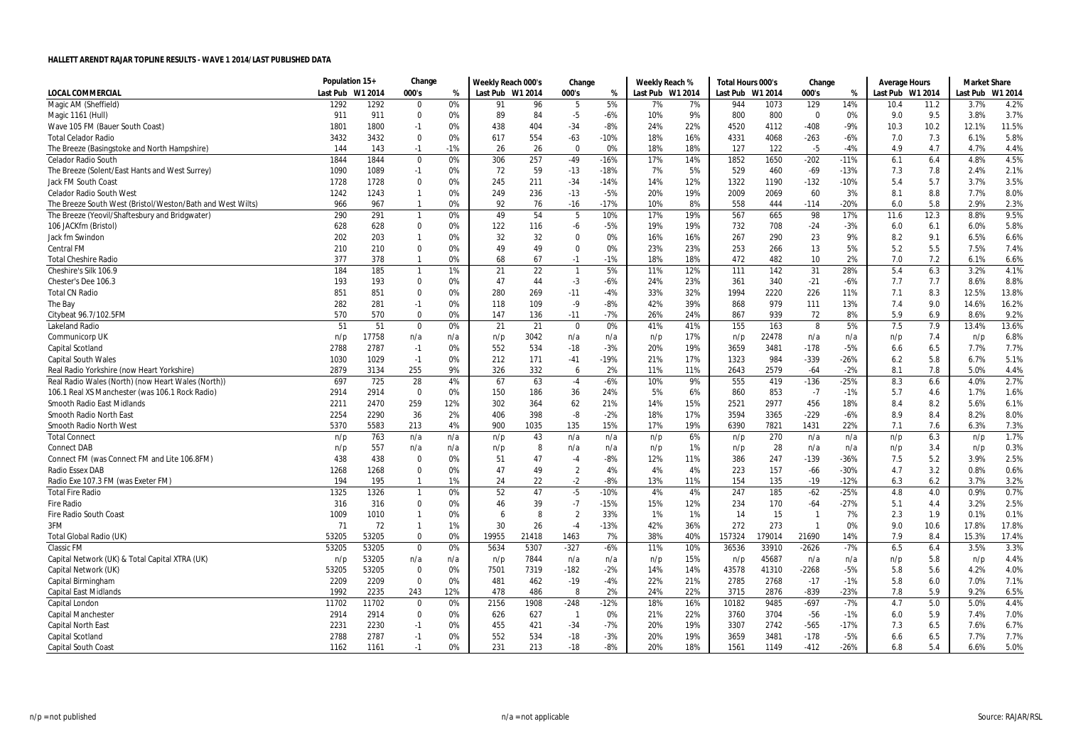|                                                            | Population 15+ |         | Change         |       | Weekly Reach 000's |       | Change         |        | Weekly Reach % |         | Total Hours 000's |         | Change                  |        | <b>Average Hours</b> |      | <b>Market Share</b> |         |
|------------------------------------------------------------|----------------|---------|----------------|-------|--------------------|-------|----------------|--------|----------------|---------|-------------------|---------|-------------------------|--------|----------------------|------|---------------------|---------|
| <b>LOCAL COMMERCIAL</b>                                    | Last Pub       | W1 2014 | 000's          | %     | Last Pub W1 2014   |       | 000's          | %      | Last Pub       | W1 2014 | Last Pub          | W1 2014 | 000's                   | %      | Last Pub W1 2014     |      | Last Pub            | W1 2014 |
| Magic AM (Sheffield)                                       | 1292           | 1292    | 0              | 0%    | 91                 | 96    | 5              | 5%     | 7%             | 7%      | 944               | 1073    | 129                     | 14%    | 10.4                 | 11.2 | 3.7%                | 4.2%    |
| Magic 1161 (Hull)                                          | 911            | 911     | 0              | 0%    | 89                 | 84    | $-5$           | $-6%$  | 10%            | 9%      | 800               | 800     | 0                       | 0%     | 9.0                  | 9.5  | 3.8%                | 3.7%    |
| Wave 105 FM (Bauer South Coast)                            | 1801           | 1800    | $-1$           | 0%    | 438                | 404   | $-34$          | $-8%$  | 24%            | 22%     | 4520              | 4112    | $-408$                  | $-9%$  | 10.3                 | 10.2 | 12.1%               | 11.5%   |
| <b>Total Celador Radio</b>                                 | 3432           | 3432    | 0              | 0%    | 617                | 554   | $-63$          | $-10%$ | 18%            | 16%     | 4331              | 4068    | $-263$                  | $-6%$  | 7.0                  | 7.3  | 6.1%                | 5.8%    |
| The Breeze (Basingstoke and North Hampshire)               | 144            | 143     | $-1$           | $-1%$ | 26                 | 26    | $\mathbf 0$    | 0%     | 18%            | 18%     | 127               | 122     | $-5$                    | $-4%$  | 4.9                  | 4.7  | 4.7%                | 4.4%    |
| <b>Celador Radio South</b>                                 | 1844           | 1844    | $\mathbf 0$    | 0%    | 306                | 257   | $-49$          | $-16%$ | 17%            | 14%     | 1852              | 1650    | $-202$                  | $-11%$ | 6.1                  | 6.4  | 4.8%                | 4.5%    |
| The Breeze (Solent/East Hants and West Surrey)             | 1090           | 1089    | $-1$           | 0%    | 72                 | 59    | $-13$          | $-18%$ | 7%             | 5%      | 529               | 460     | $-69$                   | $-13%$ | 7.3                  | 7.8  | 2.4%                | 2.1%    |
| Jack FM South Coast                                        | 1728           | 1728    | 0              | 0%    | 245                | 211   | $-34$          | $-14%$ | 14%            | 12%     | 1322              | 1190    | $-132$                  | $-10%$ | 5.4                  | 5.7  | 3.7%                | 3.5%    |
| <b>Celador Radio South West</b>                            | 1242           | 1243    | $\mathbf{1}$   | 0%    | 249                | 236   | $-13$          | $-5%$  | 20%            | 19%     | 2009              | 2069    | 60                      | 3%     | 8.1                  | 8.8  | 7.7%                | 8.0%    |
| The Breeze South West (Bristol/Weston/Bath and West Wilts) | 966            | 967     | $\mathbf{1}$   | 0%    | 92                 | 76    | $-16$          | $-17%$ | 10%            | 8%      | 558               | 444     | $-114$                  | $-20%$ | 6.0                  | 5.8  | 2.9%                | 2.3%    |
| The Breeze (Yeovil/Shaftesbury and Bridgwater)             | 290            | 291     | $\mathbf{1}$   | 0%    | 49                 | 54    | 5              | 10%    | 17%            | 19%     | 567               | 665     | 98                      | 17%    | 11.6                 | 12.3 | 8.8%                | 9.5%    |
| 106 JACKfm (Bristol)                                       | 628            | 628     | $\mathbf 0$    | 0%    | 122                | 116   | -6             | $-5%$  | 19%            | 19%     | 732               | 708     | $-24$                   | $-3%$  | 6.0                  | 6.1  | 6.0%                | 5.8%    |
| Jack fm Swindon                                            | 202            | 203     | $\mathbf{1}$   | 0%    | 32                 | 32    | $\mathbf 0$    | 0%     | 16%            | 16%     | 267               | 290     | 23                      | 9%     | 8.2                  | 9.1  | 6.5%                | 6.6%    |
| <b>Central FM</b>                                          | 210            | 210     | $\Omega$       | 0%    | 49                 | 49    | $\mathbf 0$    | 0%     | 23%            | 23%     | 253               | 266     | 13                      | 5%     | 5.2                  | 5.5  | 7.5%                | 7.4%    |
| <b>Total Cheshire Radio</b>                                | 377            | 378     | $\mathbf{1}$   | 0%    | 68                 | 67    | $-1$           | $-1%$  | 18%            | 18%     | 472               | 482     | 10                      | 2%     | 7.0                  | 7.2  | 6.1%                | 6.6%    |
| Cheshire's Silk 106.9                                      | 184            | 185     | $\overline{1}$ | 1%    | 21                 | 22    | $\overline{1}$ | 5%     | 11%            | 12%     | 111               | 142     | 31                      | 28%    | 5.4                  | 6.3  | 3.2%                | 4.1%    |
| Chester's Dee 106.3                                        | 193            | 193     | 0              | 0%    | 47                 | 44    | $-3$           | $-6%$  | 24%            | 23%     | 361               | 340     | $-21$                   | $-6%$  | 7.7                  | 7.7  | 8.6%                | 8.8%    |
| <b>Total CN Radio</b>                                      | 851            | 851     | $\mathbf 0$    | 0%    | 280                | 269   | $-11$          | $-4%$  | 33%            | 32%     | 1994              | 2220    | 226                     | 11%    | 7.1                  | 8.3  | 12.5%               | 13.8%   |
| The Bay                                                    | 282            | 281     | $-1$           | 0%    | 118                | 109   | $-9$           | $-8%$  | 42%            | 39%     | 868               | 979     | 111                     | 13%    | 7.4                  | 9.0  | 14.6%               | 16.2%   |
| Citybeat 96.7/102.5FM                                      | 570            | 570     | $\Omega$       | 0%    | 147                | 136   | $-11$          | $-7%$  | 26%            | 24%     | 867               | 939     | 72                      | 8%     | 5.9                  | 6.9  | 8.6%                | 9.2%    |
| <b>Lakeland Radio</b>                                      | 51             | 51      | $\mathbf 0$    | 0%    | 21                 | 21    | $\pmb{0}$      | 0%     | 41%            | 41%     | 155               | 163     | 8                       | 5%     | 7.5                  | 7.9  | 13.4%               | 13.6%   |
| Communicorp UK                                             | n/p            | 17758   | n/a            | n/a   | n/p                | 3042  | n/a            | n/a    | n/p            | 17%     | n/p               | 22478   | n/a                     | n/a    | n/p                  | 7.4  | n/p                 | 6.8%    |
| Capital Scotland                                           | 2788           | 2787    | $-1$           | 0%    | 552                | 534   | $-18$          | $-3%$  | 20%            | 19%     | 3659              | 3481    | $-178$                  | $-5%$  | 6.6                  | 6.5  | 7.7%                | 7.7%    |
| <b>Capital South Wales</b>                                 | 1030           | 1029    | $-1$           | 0%    | 212                | 171   | $-41$          | $-19%$ | 21%            | 17%     | 1323              | 984     | $-339$                  | $-26%$ | 6.2                  | 5.8  | 6.7%                | 5.1%    |
| Real Radio Yorkshire (now Heart Yorkshire)                 | 2879           | 3134    | 255            | 9%    | 326                | 332   | 6              | 2%     | 11%            | 11%     | 2643              | 2579    | $-64$                   | $-2%$  | 8.1                  | 7.8  | 5.0%                | 4.4%    |
| Real Radio Wales (North) (now Heart Wales (North))         | 697            | 725     | 28             | 4%    | 67                 | 63    | $-4$           | $-6%$  | 10%            | 9%      | 555               | 419     | $-136$                  | $-25%$ | 8.3                  | 6.6  | 4.0%                | 2.7%    |
| 106.1 Real XS Manchester (was 106.1 Rock Radio)            | 2914           | 2914    | $\mathbf 0$    | 0%    | 150                | 186   | 36             | 24%    | 5%             | 6%      | 860               | 853     | $-7$                    | $-1%$  | 5.7                  | 4.6  | 1.7%                | 1.6%    |
| Smooth Radio East Midlands                                 | 2211           | 2470    | 259            | 12%   | 302                | 364   | 62             | 21%    | 14%            | 15%     | 2521              | 2977    | 456                     | 18%    | 8.4                  | 8.2  | 5.6%                | 6.1%    |
| Smooth Radio North East                                    | 2254           | 2290    | 36             | 2%    | 406                | 398   | -8             | $-2%$  | 18%            | 17%     | 3594              | 3365    | $-229$                  | $-6%$  | 8.9                  | 8.4  | 8.2%                | 8.0%    |
| Smooth Radio North West                                    | 5370           | 5583    | 213            | 4%    | 900                | 1035  | 135            | 15%    | 17%            | 19%     | 6390              | 7821    | 1431                    | 22%    | 7.1                  | 7.6  | 6.3%                | 7.3%    |
| <b>Total Connect</b>                                       | n/p            | 763     | n/a            | n/a   | n/p                | 43    | n/a            | n/a    | n/p            | 6%      | n/p               | 270     | n/a                     | n/a    | n/p                  | 6.3  | n/p                 | 1.7%    |
| <b>Connect DAB</b>                                         | n/p            | 557     | n/a            | n/a   | n/p                | 8     | n/a            | n/a    | n/p            | 1%      | n/p               | 28      | n/a                     | n/a    | n/p                  | 3.4  | n/p                 | 0.3%    |
| Connect FM (was Connect FM and Lite 106.8FM)               | 438            | 438     | $\mathbf 0$    | 0%    | 51                 | 47    | -4             | $-8%$  | 12%            | 11%     | 386               | 247     | $-139$                  | $-36%$ | 7.5                  | 5.2  | 3.9%                | 2.5%    |
| <b>Radio Essex DAB</b>                                     | 1268           | 1268    | 0              | 0%    | 47                 | 49    | $\overline{2}$ | 4%     | 4%             | 4%      | 223               | 157     | -66                     | $-30%$ | 4.7                  | 3.2  | 0.8%                | 0.6%    |
| Radio Exe 107.3 FM (was Exeter FM)                         | 194            | 195     | $\overline{1}$ | 1%    | 24                 | 22    | $-2$           | $-8%$  | 13%            | 11%     | 154               | 135     | $-19$                   | $-12%$ | 6.3                  | 6.2  | 3.7%                | 3.2%    |
| <b>Total Fire Radio</b>                                    | 1325           | 1326    | $\mathbf{1}$   | 0%    | 52                 | 47    | $-5$           | $-10%$ | 4%             | 4%      | 247               | 185     | $-62$                   | $-25%$ | 4.8                  | 4.0  | 0.9%                | 0.7%    |
| <b>Fire Radio</b>                                          | 316            | 316     | $\mathbf 0$    | 0%    | 46                 | 39    | $-7$           | $-15%$ | 15%            | 12%     | 234               | 170     | $-64$                   | $-27%$ | 5.1                  | 4.4  | 3.2%                | 2.5%    |
| Fire Radio South Coast                                     | 1009           | 1010    | $\mathbf{1}$   | 0%    | -6                 | 8     | $\overline{2}$ | 33%    | 1%             | 1%      | 14                | 15      | $\overline{\mathbf{1}}$ | 7%     | 2.3                  | 1.9  | 0.1%                | 0.1%    |
| 3FM                                                        | 71             | 72      | $\mathbf{1}$   | 1%    | 30                 | 26    | $-4$           | $-13%$ | 42%            | 36%     | 272               | 273     | - 1                     | 0%     | 9.0                  | 10.6 | 17.8%               | 17.8%   |
| <b>Total Global Radio (UK)</b>                             | 53205          | 53205   | $\Omega$       | 0%    | 19955              | 21418 | 1463           | 7%     | 38%            | 40%     | 157324            | 179014  | 21690                   | 14%    | 7.9                  | 8.4  | 15.3%               | 17.4%   |
| <b>Classic FM</b>                                          | 53205          | 53205   | 0              | 0%    | 5634               | 5307  | $-327$         | $-6%$  | 11%            | 10%     | 36536             | 33910   | $-2626$                 | $-7%$  | 6.5                  | 6.4  | 3.5%                | 3.3%    |
| Capital Network (UK) & Total Capital XTRA (UK)             | n/p            | 53205   | n/a            | n/a   | n/p                | 7844  | n/a            | n/a    | n/p            | 15%     | n/p               | 45687   | n/a                     | n/a    | n/p                  | 5.8  | n/p                 | 4.4%    |
| Capital Network (UK)                                       | 53205          | 53205   | $\mathbf 0$    | 0%    | 7501               | 7319  | $-182$         | $-2%$  | 14%            | 14%     | 43578             | 41310   | $-2268$                 | $-5%$  | 5.8                  | 5.6  | 4.2%                | 4.0%    |
| Capital Birmingham                                         | 2209           | 2209    | $\Omega$       | 0%    | 481                | 462   | $-19$          | $-4%$  | 22%            | 21%     | 2785              | 2768    | $-17$                   | $-1%$  | 5.8                  | 6.0  | 7.0%                | 7.1%    |
| <b>Capital East Midlands</b>                               | 1992           | 2235    | 243            | 12%   | 478                | 486   | 8              | 2%     | 24%            | 22%     | 3715              | 2876    | $-839$                  | $-23%$ | 7.8                  | 5.9  | 9.2%                | 6.5%    |
| Capital London                                             | 11702          | 11702   | $\Omega$       | 0%    | 2156               | 1908  | $-248$         | $-12%$ | 18%            | 16%     | 10182             | 9485    | $-697$                  | $-7%$  | 4.7                  | 5.0  | 5.0%                | 4.4%    |
| Capital Manchester                                         | 2914           | 2914    | 0              | 0%    | 626                | 627   | $\mathbf{1}$   | 0%     | 21%            | 22%     | 3760              | 3704    | $-56$                   | $-1%$  | 6.0                  | 5.9  | 7.4%                | 7.0%    |
| <b>Capital North East</b>                                  | 2231           | 2230    | $-1$           | 0%    | 455                | 421   | $-34$          | $-7%$  | 20%            | 19%     | 3307              | 2742    | $-565$                  | $-17%$ | 7.3                  | 6.5  | 7.6%                | 6.7%    |
| Capital Scotland                                           | 2788           | 2787    | $-1$           | 0%    | 552                | 534   | $-18$          | $-3%$  | 20%            | 19%     | 3659              | 3481    | $-178$                  | $-5%$  | 6.6                  | 6.5  | 7.7%                | 7.7%    |
| <b>Capital South Coast</b>                                 | 1162           | 1161    | $-1$           | 0%    | 231                | 213   | $-18$          | $-8%$  | 20%            | 18%     | 1561              | 1149    | $-412$                  | $-26%$ | 6.8                  | 5.4  | 6.6%                | 5.0%    |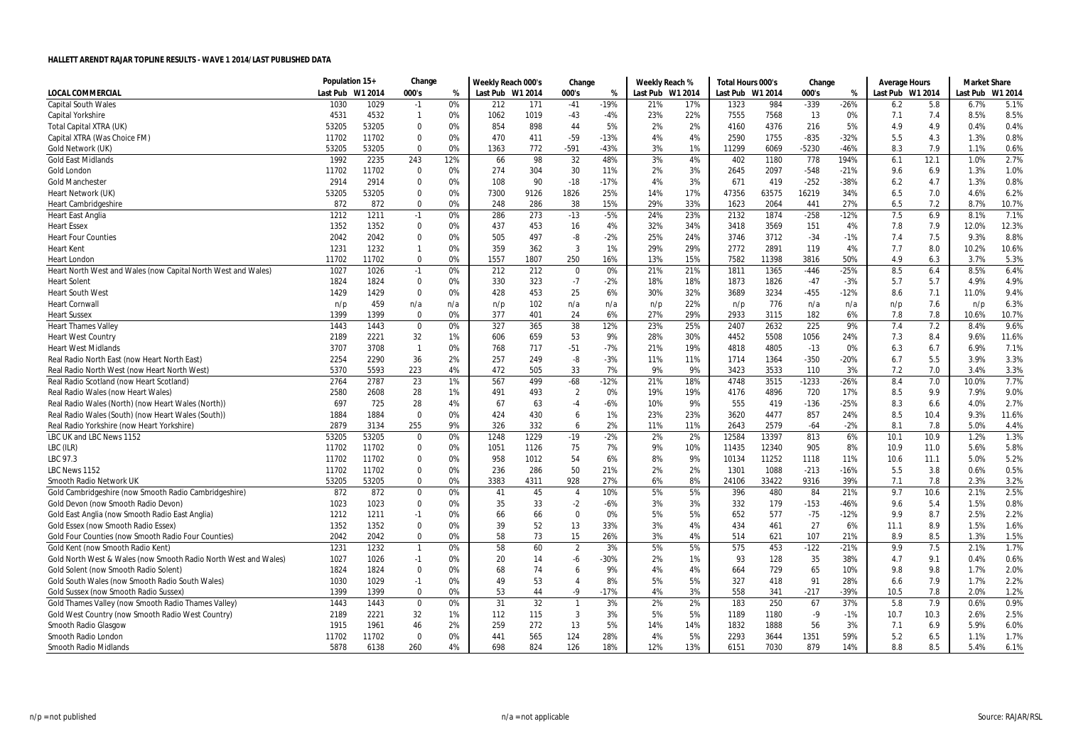|                                                                 | Population 15+ |         | Change         |     | Weekly Reach 000's |      | Change         |        | Weekly Reach %   |     | Total Hours 000's |       | Change  |        | Average Hours    |      | <b>Market Share</b> |         |
|-----------------------------------------------------------------|----------------|---------|----------------|-----|--------------------|------|----------------|--------|------------------|-----|-------------------|-------|---------|--------|------------------|------|---------------------|---------|
| <b>LOCAL COMMERCIAL</b>                                         | Last Pub       | W1 2014 | 000's          | %   | Last Pub W1 2014   |      | 000's          | %      | Last Pub W1 2014 |     | Last Pub W1 2014  |       | 000's   | %      | Last Pub W1 2014 |      | Last Pub            | W1 2014 |
| <b>Capital South Wales</b>                                      | 1030           | 1029    | $-1$           | 0%  | 212                | 171  | $-41$          | $-19%$ | 21%              | 17% | 1323              | 984   | $-339$  | $-26%$ | 6.2              | 5.8  | 6.7%                | 5.1%    |
| Capital Yorkshire                                               | 4531           | 4532    | $\overline{1}$ | 0%  | 1062               | 1019 | $-43$          | $-4%$  | 23%              | 22% | 7555              | 7568  | 13      | 0%     | 7.1              | 7.4  | 8.5%                | 8.5%    |
| <b>Total Capital XTRA (UK)</b>                                  | 53205          | 53205   | $\Omega$       | 0%  | 854                | 898  | 44             | 5%     | 2%               | 2%  | 4160              | 4376  | 216     | 5%     | 4.9              | 4.9  | 0.4%                | 0.4%    |
| Capital XTRA (Was Choice FM)                                    | 11702          | 11702   | $\mathbf 0$    | 0%  | 470                | 411  | $-59$          | $-13%$ | 4%               | 4%  | 2590              | 1755  | $-835$  | $-32%$ | 5.5              | 4.3  | 1.3%                | 0.8%    |
| Gold Network (UK)                                               | 53205          | 53205   | $\Omega$       | 0%  | 1363               | 772  | $-591$         | $-43%$ | 3%               | 1%  | 11299             | 6069  | -5230   | $-46%$ | 8.3              | 7.9  | 1.1%                | 0.6%    |
| <b>Gold East Midlands</b>                                       | 1992           | 2235    | 243            | 12% | 66                 | 98   | 32             | 48%    | 3%               | 4%  | 402               | 1180  | 778     | 194%   | 6.1              | 12.1 | 1.0%                | 2.7%    |
| Gold London                                                     | 11702          | 11702   | $\mathbf 0$    | 0%  | 274                | 304  | 30             | 11%    | 2%               | 3%  | 2645              | 2097  | $-548$  | $-21%$ | 9.6              | 6.9  | 1.3%                | 1.0%    |
| <b>Gold Manchester</b>                                          | 2914           | 2914    | $\mathbf 0$    | 0%  | 108                | 90   | $-18$          | $-17%$ | 4%               | 3%  | 671               | 419   | $-252$  | $-38%$ | 6.2              | 4.7  | 1.3%                | 0.8%    |
| Heart Network (UK)                                              | 53205          | 53205   | $\mathbf 0$    | 0%  | 7300               | 9126 | 1826           | 25%    | 14%              | 17% | 47356             | 63575 | 16219   | 34%    | 6.5              | 7.0  | 4.6%                | 6.2%    |
| <b>Heart Cambridgeshire</b>                                     | 872            | 872     | $\mathbf 0$    | 0%  | 248                | 286  | 38             | 15%    | 29%              | 33% | 1623              | 2064  | 441     | 27%    | 6.5              | 7.2  | 8.7%                | 10.7%   |
| <b>Heart East Anglia</b>                                        | 1212           | 1211    | $-1$           | 0%  | 286                | 273  | $-13$          | $-5%$  | 24%              | 23% | 2132              | 1874  | $-258$  | $-12%$ | 7.5              | 6.9  | 8.1%                | 7.1%    |
| <b>Heart Essex</b>                                              | 1352           | 1352    | 0              | 0%  | 437                | 453  | 16             | 4%     | 32%              | 34% | 3418              | 3569  | 151     | 4%     | 7.8              | 7.9  | 12.0%               | 12.3%   |
| <b>Heart Four Counties</b>                                      | 2042           | 2042    | $\mathbf 0$    | 0%  | 505                | 497  | -8             | $-2%$  | 25%              | 24% | 3746              | 3712  | $-34$   | $-1%$  | 7.4              | 7.5  | 9.3%                | 8.8%    |
| <b>Heart Kent</b>                                               | 1231           | 1232    | $\mathbf{1}$   | 0%  | 359                | 362  | 3              | 1%     | 29%              | 29% | 2772              | 2891  | 119     | 4%     | 7.7              | 8.0  | 10.2%               | 10.6%   |
| <b>Heart London</b>                                             | 11702          | 11702   | $\mathbf 0$    | 0%  | 1557               | 1807 | 250            | 16%    | 13%              | 15% | 7582              | 11398 | 3816    | 50%    | 4.9              | 6.3  | 3.7%                | 5.3%    |
| Heart North West and Wales (now Capital North West and Wales)   | 1027           | 1026    | $-1$           | 0%  | 212                | 212  | $\mathbf{0}$   | 0%     | 21%              | 21% | 1811              | 1365  | $-446$  | $-25%$ | 8.5              | 6.4  | 8.5%                | 6.4%    |
| <b>Heart Solent</b>                                             | 1824           | 1824    | 0              | 0%  | 330                | 323  | $-7$           | $-2%$  | 18%              | 18% | 1873              | 1826  | $-47$   | $-3%$  | 5.7              | 5.7  | 4.9%                | 4.9%    |
| <b>Heart South West</b>                                         | 1429           | 1429    | $\Omega$       | 0%  | 428                | 453  | 25             | 6%     | 30%              | 32% | 3689              | 3234  | $-455$  | $-12%$ | 8.6              | 7.1  | 11.0%               | 9.4%    |
| <b>Heart Cornwall</b>                                           | n/p            | 459     | n/a            | n/a | n/p                | 102  | n/a            | n/a    | n/p              | 22% | n/p               | 776   | n/a     | n/a    | n/p              | 7.6  | n/p                 | 6.3%    |
| <b>Heart Sussex</b>                                             | 1399           | 1399    | $\mathbf 0$    | 0%  | 377                | 401  | 24             | 6%     | 27%              | 29% | 2933              | 3115  | 182     | 6%     | 7.8              | 7.8  | 10.6%               | 10.7%   |
| <b>Heart Thames Valley</b>                                      | 1443           | 1443    | $\mathbf 0$    | 0%  | 327                | 365  | 38             | 12%    | 23%              | 25% | 2407              | 2632  | 225     | 9%     | 7.4              | 7.2  | 8.4%                | 9.6%    |
| <b>Heart West Country</b>                                       | 2189           | 2221    | 32             | 1%  | 606                | 659  | 53             | 9%     | 28%              | 30% | 4452              | 5508  | 1056    | 24%    | 7.3              | 8.4  | 9.6%                | 11.6%   |
| <b>Heart West Midlands</b>                                      | 3707           | 3708    | $\overline{1}$ | 0%  | 768                | 717  | $-51$          | $-7%$  | 21%              | 19% | 4818              | 4805  | $-13$   | 0%     | 6.3              | 6.7  | 6.9%                | 7.1%    |
| Real Radio North East (now Heart North East)                    | 2254           | 2290    | 36             | 2%  | 257                | 249  | -8             | $-3%$  | 11%              | 11% | 1714              | 1364  | $-350$  | $-20%$ | 6.7              | 5.5  | 3.9%                | 3.3%    |
| Real Radio North West (now Heart North West)                    | 5370           | 5593    | 223            | 4%  | 472                | 505  | 33             | 7%     | 9%               | 9%  | 3423              | 3533  | 110     | 3%     | 7.2              | 7.0  | 3.4%                | 3.3%    |
| Real Radio Scotland (now Heart Scotland)                        | 2764           | 2787    | 23             | 1%  | 567                | 499  | $-68$          | $-12%$ | 21%              | 18% | 4748              | 3515  | $-1233$ | $-26%$ | 8.4              | 7.0  | 10.0%               | 7.7%    |
| Real Radio Wales (now Heart Wales)                              | 2580           | 2608    | 28             | 1%  | 491                | 493  | $\overline{2}$ | 0%     | 19%              | 19% | 4176              | 4896  | 720     | 17%    | 8.5              | 9.9  | 7.9%                | 9.0%    |
| Real Radio Wales (North) (now Heart Wales (North))              | 697            | 725     | 28             | 4%  | 67                 | 63   | $-4$           | $-6%$  | 10%              | 9%  | 555               | 419   | $-136$  | $-25%$ | 8.3              | 6.6  | 4.0%                | 2.7%    |
| Real Radio Wales (South) (now Heart Wales (South))              | 1884           | 1884    | $\mathbf{0}$   | 0%  | 424                | 430  | 6              | 1%     | 23%              | 23% | 3620              | 4477  | 857     | 24%    | 8.5              | 10.4 | 9.3%                | 11.6%   |
| Real Radio Yorkshire (now Heart Yorkshire)                      | 2879           | 3134    | 255            | 9%  | 326                | 332  | 6              | 2%     | 11%              | 11% | 2643              | 2579  | -64     | $-2%$  | 8.1              | 7.8  | 5.0%                | 4.4%    |
| LBC UK and LBC News 1152                                        | 53205          | 53205   | $\mathbf{0}$   | 0%  | 1248               | 1229 | $-19$          | $-2%$  | 2%               | 2%  | 12584             | 13397 | 813     | 6%     | 10.1             | 10.9 | 1.2%                | 1.3%    |
| LBC (ILR)                                                       | 11702          | 11702   | $\mathbf 0$    | 0%  | 1051               | 1126 | 75             | 7%     | 9%               | 10% | 11435             | 12340 | 905     | 8%     | 10.9             | 11.0 | 5.6%                | 5.8%    |
| LBC 97.3                                                        | 11702          | 11702   | 0              | 0%  | 958                | 1012 | 54             | 6%     | 8%               | 9%  | 10134             | 11252 | 1118    | 11%    | 10.6             | 11.1 | 5.0%                | 5.2%    |
| LBC News 1152                                                   | 11702          | 11702   | 0              | 0%  | 236                | 286  | 50             | 21%    | 2%               | 2%  | 1301              | 1088  | $-213$  | $-16%$ | 5.5              | 3.8  | 0.6%                | 0.5%    |
| Smooth Radio Network UK                                         | 53205          | 53205   | $\mathbf 0$    | 0%  | 3383               | 4311 | 928            | 27%    | 6%               | 8%  | 24106             | 33422 | 9316    | 39%    | 7.1              | 7.8  | 2.3%                | 3.2%    |
| Gold Cambridgeshire (now Smooth Radio Cambridgeshire)           | 872            | 872     | $\mathbf 0$    | 0%  | 41                 | 45   | $\overline{4}$ | 10%    | 5%               | 5%  | 396               | 480   | 84      | 21%    | 9.7              | 10.6 | 2.1%                | 2.5%    |
| Gold Devon (now Smooth Radio Devon)                             | 1023           | 1023    | $\mathbf 0$    | 0%  | 35                 | 33   | $-2$           | $-6%$  | 3%               | 3%  | 332               | 179   | $-153$  | $-46%$ | 9.6              | 5.4  | 1.5%                | 0.8%    |
| Gold East Anglia (now Smooth Radio East Anglia)                 | 1212           | 1211    | -1             | 0%  | 66                 | 66   | 0              | 0%     | 5%               | 5%  | 652               | 577   | $-75$   | $-12%$ | 9.9              | 8.7  | 2.5%                | 2.2%    |
| Gold Essex (now Smooth Radio Essex)                             | 1352           | 1352    | $\mathbf 0$    | 0%  | 39                 | 52   | 13             | 33%    | 3%               | 4%  | 434               | 461   | 27      | 6%     | 11.1             | 8.9  | 1.5%                | 1.6%    |
| Gold Four Counties (now Smooth Radio Four Counties)             | 2042           | 2042    | $\mathbf 0$    | 0%  | 58                 | 73   | 15             | 26%    | 3%               | 4%  | 514               | 621   | 107     | 21%    | 8.9              | 8.5  | 1.3%                | 1.5%    |
| Gold Kent (now Smooth Radio Kent)                               | 1231           | 1232    | $\overline{1}$ | 0%  | 58                 | 60   | $\overline{2}$ | 3%     | 5%               | 5%  | 575               | 453   | $-122$  | $-21%$ | 9.9              | 7.5  | 2.1%                | 1.7%    |
| Gold North West & Wales (now Smooth Radio North West and Wales) | 1027           | 1026    | $-1$           | 0%  | 20                 | 14   | -6             | $-30%$ | 2%               | 1%  | 93                | 128   | 35      | 38%    | 4.7              | 9.1  | 0.4%                | 0.6%    |
| Gold Solent (now Smooth Radio Solent)                           | 1824           | 1824    | $\mathbf 0$    | 0%  | 68                 | 74   | 6              | 9%     | 4%               | 4%  | 664               | 729   | 65      | 10%    | 9.8              | 9.8  | 1.7%                | 2.0%    |
| Gold South Wales (now Smooth Radio South Wales)                 | 1030           | 1029    | $-1$           | 0%  | 49                 | 53   | $\overline{4}$ | 8%     | 5%               | 5%  | 327               | 418   | 91      | 28%    | 6.6              | 7.9  | 1.7%                | 2.2%    |
| Gold Sussex (now Smooth Radio Sussex)                           | 1399           | 1399    | $\mathbf 0$    | 0%  | 53                 | 44   | -9             | $-17%$ | 4%               | 3%  | 558               | 341   | $-217$  | -39%   | 10.5             | 7.8  | 2.0%                | 1.2%    |
| Gold Thames Valley (now Smooth Radio Thames Valley)             | 1443           | 1443    | $\mathbf 0$    | 0%  | 31                 | 32   | $\overline{1}$ | 3%     | 2%               | 2%  | 183               | 250   | 67      | 37%    | 5.8              | 7.9  | 0.6%                | 0.9%    |
| Gold West Country (now Smooth Radio West Country)               | 2189           | 2221    | 32             | 1%  | 112                | 115  | $\overline{3}$ | 3%     | 5%               | 5%  | 1189              | 1180  | $-9$    | $-1%$  | 10.7             | 10.3 | 2.6%                | 2.5%    |
| Smooth Radio Glasgow                                            | 1915           | 1961    | 46             | 2%  | 259                | 272  | 13             | 5%     | 14%              | 14% | 1832              | 1888  | 56      | 3%     | 7.1              | 6.9  | 5.9%                | 6.0%    |
| Smooth Radio London                                             | 11702          | 11702   | $\Omega$       | 0%  | 441                | 565  | 124            | 28%    | 4%               | 5%  | 2293              | 3644  | 1351    | 59%    | 5.2              | 6.5  | 1.1%                | 1.7%    |
| <b>Smooth Radio Midlands</b>                                    | 5878           | 6138    | 260            | 4%  | 698                | 824  | 126            | 18%    | 12%              | 13% | 6151              | 7030  | 879     | 14%    | 8.8              | 8.5  | 5.4%                | 6.1%    |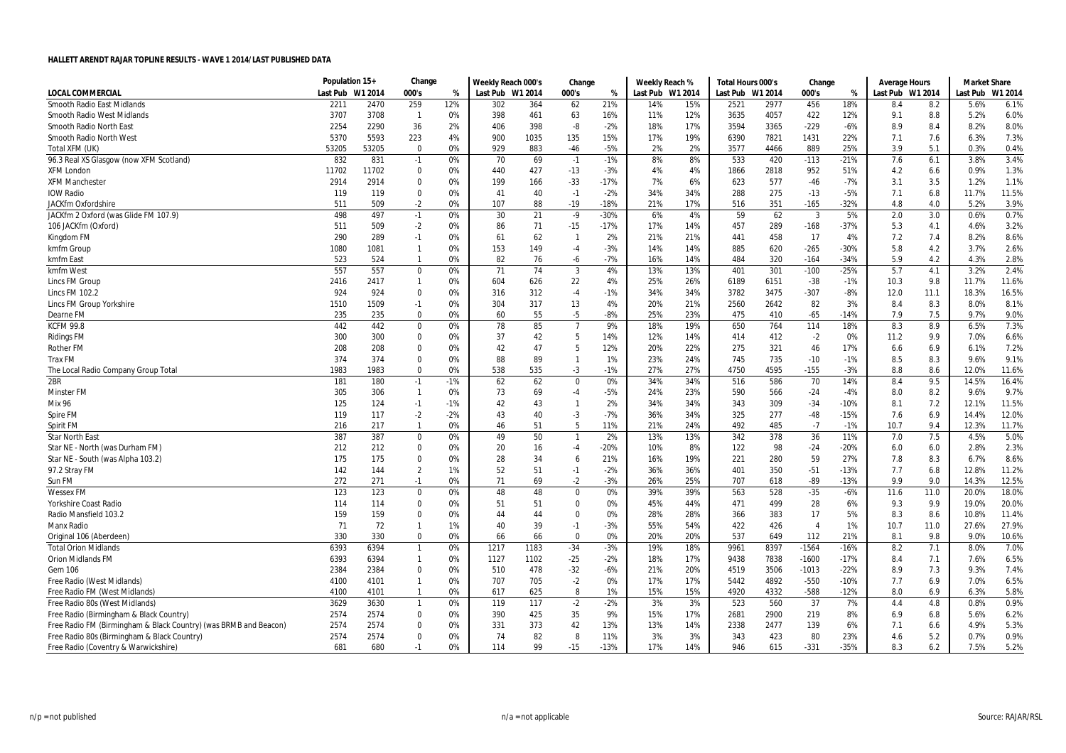|                                                                  | Population 15+   |       | Change         |       | Weekly Reach 000's |      | Change         |        | Weekly Reach %   |     | Total Hours 000's |         | Change                 |        | Average Hours    |      | <b>Market Share</b> |         |
|------------------------------------------------------------------|------------------|-------|----------------|-------|--------------------|------|----------------|--------|------------------|-----|-------------------|---------|------------------------|--------|------------------|------|---------------------|---------|
| <b>LOCAL COMMERCIAL</b>                                          | Last Pub W1 2014 |       | 000's          | %     | Last Pub W1 2014   |      | 000's          | %      | Last Pub W1 2014 |     | Last Pub          | W1 2014 | 000's                  | %      | Last Pub W1 2014 |      | Last Pub            | W1 2014 |
| Smooth Radio East Midlands                                       | 2211             | 2470  | 259            | 12%   | 302                | 364  | 62             | 21%    | 14%              | 15% | 2521              | 2977    | 456                    | 18%    | 8.4              | 8.2  | 5.6%                | 6.1%    |
| <b>Smooth Radio West Midlands</b>                                | 3707             | 3708  | $\overline{1}$ | 0%    | 398                | 461  | 63             | 16%    | 11%              | 12% | 3635              | 4057    | 422                    | 12%    | 9.1              | 8.8  | 5.2%                | 6.0%    |
| Smooth Radio North East                                          | 2254             | 2290  | 36             | 2%    | 406                | 398  | -8             | $-2%$  | 18%              | 17% | 3594              | 3365    | $-229$                 | $-6%$  | 8.9              | 8.4  | 8.2%                | 8.0%    |
| Smooth Radio North West                                          | 5370             | 5593  | 223            | 4%    | 900                | 1035 | 135            | 15%    | 17%              | 19% | 6390              | 7821    | 1431                   | 22%    | 7.1              | 7.6  | 6.3%                | 7.3%    |
| Total XFM (UK)                                                   | 53205            | 53205 | $\Omega$       | 0%    | 929                | 883  | -46            | $-5%$  | 2%               | 2%  | 3577              | 4466    | 889                    | 25%    | 3.9              | 5.1  | 0.3%                | 0.4%    |
| 96.3 Real XS Glasgow (now XFM Scotland)                          | 832              | 831   | $-1$           | 0%    | 70                 | 69   | $-1$           | $-1%$  | 8%               | 8%  | 533               | 420     | $-113$                 | $-21%$ | 7.6              | 6.1  | 3.8%                | 3.4%    |
| <b>XFM London</b>                                                | 11702            | 11702 | 0              | 0%    | 440                | 427  | $-13$          | $-3%$  | 4%               | 4%  | 1866              | 2818    | 952                    | 51%    | 4.2              | 6.6  | 0.9%                | 1.3%    |
| <b>XFM Manchester</b>                                            | 2914             | 2914  | $\Omega$       | 0%    | 199                | 166  | $-33$          | $-17%$ | 7%               | 6%  | 623               | 577     | $-46$                  | $-7%$  | 3.1              | 3.5  | 1.2%                | 1.1%    |
| <b>IOW Radio</b>                                                 | 119              | 119   | 0              | 0%    | 41                 | 40   | $-1$           | $-2%$  | 34%              | 34% | 288               | 275     | $-13$                  | $-5%$  | 7.1              | 6.8  | 11.7%               | 11.5%   |
| JACKfm Oxfordshire                                               | 511              | 509   | $-2$           | 0%    | 107                | 88   | $-19$          | $-18%$ | 21%              | 17% | 516               | 351     | $-165$                 | $-32%$ | 4.8              | 4.0  | 5.2%                | 3.9%    |
| JACKfm 2 Oxford (was Glide FM 107.9)                             | 498              | 497   | $-1$           | 0%    | 30                 | 21   | $-9$           | $-30%$ | 6%               | 4%  | 59                | 62      | $\overline{3}$         | 5%     | 2.0              | 3.0  | 0.6%                | 0.7%    |
| 106 JACKfm (Oxford)                                              | 511              | 509   | $-2$           | 0%    | 86                 | 71   | $-15$          | $-17%$ | 17%              | 14% | 457               | 289     | $-168$                 | $-37%$ | 5.3              | 4.1  | 4.6%                | 3.2%    |
| Kingdom FM                                                       | 290              | 289   | $-1$           | 0%    | 61                 | 62   | -1             | 2%     | 21%              | 21% | 441               | 458     | 17                     | 4%     | 7.2              | 7.4  | 8.2%                | 8.6%    |
| kmfm Group                                                       | 1080             | 1081  | $\mathbf{1}$   | 0%    | 153                | 149  | -4             | $-3%$  | 14%              | 14% | 885               | 620     | $-265$                 | $-30%$ | 5.8              | 4.2  | 3.7%                | 2.6%    |
| kmfm East                                                        | 523              | 524   | -1             | 0%    | 82                 | 76   | -6             | $-7%$  | 16%              | 14% | 484               | 320     | $-164$                 | $-34%$ | 5.9              | 4.2  | 4.3%                | 2.8%    |
| kmfm West                                                        | 557              | 557   | $\mathbf 0$    | 0%    | 71                 | 74   | $\overline{3}$ | 4%     | 13%              | 13% | 401               | 301     | $-100$                 | $-25%$ | 5.7              | 4.1  | 3.2%                | 2.4%    |
| Lincs FM Group                                                   | 2416             | 2417  | $\mathbf{1}$   | 0%    | 604                | 626  | 22             | 4%     | 25%              | 26% | 6189              | 6151    | $-38$                  | $-1%$  | 10.3             | 9.8  | 11.7%               | 11.6%   |
| Lincs FM 102.2                                                   | 924              | 924   | 0              | 0%    | 316                | 312  | $-4$           | $-1%$  | 34%              | 34% | 3782              | 3475    | $-307$                 | $-8%$  | 12.0             | 11.1 | 18.3%               | 16.5%   |
| Lincs FM Group Yorkshire                                         | 1510             | 1509  | $-1$           | 0%    | 304                | 317  | 13             | 4%     | 20%              | 21% | 2560              | 2642    | 82                     | 3%     | 8.4              | 8.3  | 8.0%                | 8.1%    |
| Dearne FM                                                        | 235              | 235   | $\Omega$       | 0%    | 60                 | 55   | $-5$           | $-8%$  | 25%              | 23% | 475               | 410     | $-65$                  | $-14%$ | 7.9              | 7.5  | 9.7%                | 9.0%    |
| <b>KCFM 99.8</b>                                                 | 442              | 442   | 0              | 0%    | 78                 | 85   | $\overline{7}$ | 9%     | 18%              | 19% | 650               | 764     | 114                    | 18%    | 8.3              | 8.9  | 6.5%                | 7.3%    |
| <b>Ridings FM</b>                                                | 300              | 300   | 0              | 0%    | 37                 | 42   | 5              | 14%    | 12%              | 14% | 414               | 412     | $-2$                   | 0%     | 11.2             | 9.9  | 7.0%                | 6.6%    |
| <b>Rother FM</b>                                                 | 208              | 208   | $\mathbf 0$    | 0%    | 42                 | 47   | 5              | 12%    | 20%              | 22% | 275               | 321     | 46                     | 17%    | 6.6              | 6.9  | 6.1%                | 7.2%    |
| <b>Trax FM</b>                                                   | 374              | 374   | $\Omega$       | 0%    | 88                 | 89   | -1             | 1%     | 23%              | 24% | 745               | 735     | $-10$                  | $-1%$  | 8.5              | 8.3  | 9.6%                | 9.1%    |
| The Local Radio Company Group Total                              | 1983             | 1983  | $\mathbf 0$    | 0%    | 538                | 535  | -3             | $-1%$  | 27%              | 27% | 4750              | 4595    | $-155$                 | $-3%$  | 8.8              | 8.6  | 12.0%               | 11.6%   |
| 2BR                                                              | 181              | 180   | $-1$           | $-1%$ | 62                 | 62   | $\mathbf 0$    | 0%     | 34%              | 34% | 516               | 586     | 70                     | 14%    | 8.4              | 9.5  | 14.5%               | 16.4%   |
| <b>Minster FM</b>                                                | 305              | 306   | $\mathbf{1}$   | 0%    | 73                 | 69   | -4             | $-5%$  | 24%              | 23% | 590               | 566     | $-24$                  | -4%    | 8.0              | 8.2  | 9.6%                | 9.7%    |
| <b>Mix 96</b>                                                    | 125              | 124   | $-1$           | $-1%$ | 42                 | 43   | $\mathbf{1}$   | 2%     | 34%              | 34% | 343               | 309     | $-34$                  | $-10%$ | 8.1              | 7.2  | 12.1%               | 11.5%   |
| Spire FM                                                         | 119              | 117   | $-2$           | $-2%$ | 43                 | 40   | -3             | $-7%$  | 36%              | 34% | 325               | 277     | $-48$                  | $-15%$ | 7.6              | 6.9  | 14.4%               | 12.0%   |
| Spirit FM                                                        | 216              | 217   | $\mathbf{1}$   | 0%    | 46                 | 51   | 5              | 11%    | 21%              | 24% | 492               | 485     | $-7$                   | $-1%$  | 10.7             | 9.4  | 12.3%               | 11.7%   |
| <b>Star North East</b>                                           | 387              | 387   | 0              | 0%    | 49                 | 50   | $\overline{1}$ | 2%     | 13%              | 13% | 342               | 378     | 36                     | 11%    | 7.0              | 7.5  | 4.5%                | 5.0%    |
| Star NE - North (was Durham FM)                                  | 212              | 212   | 0              | 0%    | 20                 | 16   | -4             | $-20%$ | 10%              | 8%  | 122               | 98      | $-24$                  | $-20%$ | 6.0              | 6.0  | 2.8%                | 2.3%    |
| Star NE - South (was Alpha 103.2)                                | 175              | 175   | $\Omega$       | 0%    | 28                 | 34   | 6              | 21%    | 16%              | 19% | 221               | 280     | 59                     | 27%    | 7.8              | 8.3  | 6.7%                | 8.6%    |
| 97.2 Stray FM                                                    | 142              | 144   | $\overline{2}$ | 1%    | 52                 | 51   | $-1$           | $-2%$  | 36%              | 36% | 401               | 350     | $-51$                  | $-13%$ | 7.7              | 6.8  | 12.8%               | 11.2%   |
| Sun FM                                                           | 272              | 271   | $-1$           | 0%    | 71                 | 69   | $-2$           | $-3%$  | 26%              | 25% | 707               | 618     | -89                    | $-13%$ | 9.9              | 9.0  | 14.3%               | 12.5%   |
| <b>Wessex FM</b>                                                 | 123              | 123   | $\mathbf 0$    | 0%    | 48                 | 48   | $\Omega$       | 0%     | 39%              | 39% | 563               | 528     | $-35$                  | $-6%$  | 11.6             | 11.0 | 20.0%               | 18.0%   |
| Yorkshire Coast Radio                                            | 114              | 114   | 0              | 0%    | 51                 | 51   | $\Omega$       | 0%     | 45%              | 44% | 471               | 499     | 28                     | 6%     | 9.3              | 9.9  | 19.0%               | 20.0%   |
| Radio Mansfield 103.2                                            | 159              | 159   | 0              | 0%    | 44                 | 44   | $\Omega$       | 0%     | 28%              | 28% | 366               | 383     | 17                     | 5%     | 8.3              | 8.6  | 10.8%               | 11.4%   |
| <b>Manx Radio</b>                                                | 71               | 72    | $\mathbf{1}$   | 1%    | 40                 | 39   | $-1$           | $-3%$  | 55%              | 54% | 422               | 426     | $\boldsymbol{\Lambda}$ | 1%     | 10.7             | 11.0 | 27.6%               | 27.9%   |
| Original 106 (Aberdeen)                                          | 330              | 330   | $\Omega$       | 0%    | 66                 | 66   | 0              | 0%     | 20%              | 20% | 537               | 649     | 112                    | 21%    | 8.1              | 9.8  | 9.0%                | 10.6%   |
| <b>Total Orion Midlands</b>                                      | 6393             | 6394  | $\overline{1}$ | 0%    | 1217               | 1183 | $-34$          | $-3%$  | 19%              | 18% | 9961              | 8397    | $-1564$                | $-16%$ | 8.2              | 7.1  | 8.0%                | 7.0%    |
| Orion Midlands FM                                                | 6393             | 6394  | $\mathbf{1}$   | 0%    | 1127               | 1102 | $-25$          | $-2%$  | 18%              | 17% | 9438              | 7838    | $-1600$                | $-17%$ | 8.4              | 7.1  | 7.6%                | 6.5%    |
| Gem 106                                                          | 2384             | 2384  | 0              | 0%    | 510                | 478  | $-32$          | $-6%$  | 21%              | 20% | 4519              | 3506    | $-1013$                | $-22%$ | 8.9              | 7.3  | 9.3%                | 7.4%    |
| Free Radio (West Midlands)                                       | 4100             | 4101  | $\mathbf{1}$   | 0%    | 707                | 705  | $-2$           | 0%     | 17%              | 17% | 5442              | 4892    | $-550$                 | $-10%$ | 7.7              | 6.9  | 7.0%                | 6.5%    |
| Free Radio FM (West Midlands)                                    | 4100             | 4101  | $\overline{1}$ | 0%    | 617                | 625  | 8              | 1%     | 15%              | 15% | 4920              | 4332    | $-588$                 | $-12%$ | 8.0              | 6.9  | 6.3%                | 5.8%    |
| Free Radio 80s (West Midlands)                                   | 3629             | 3630  | $\overline{1}$ | 0%    | 119                | 117  | $-2$           | $-2%$  | 3%               | 3%  | 523               | 560     | 37                     | 7%     | 4.4              | 4.8  | 0.8%                | 0.9%    |
| Free Radio (Birmingham & Black Country)                          | 2574             | 2574  | $\Omega$       | 0%    | 390                | 425  | 35             | 9%     | 15%              | 17% | 2681              | 2900    | 219                    | 8%     | 6.9              | 6.8  | 5.6%                | 6.2%    |
| Free Radio FM (Birmingham & Black Country) (was BRMB and Beacon) | 2574             | 2574  | 0              | 0%    | 331                | 373  | 42             | 13%    | 13%              | 14% | 2338              | 2477    | 139                    | 6%     | 7.1              | 6.6  | 4.9%                | 5.3%    |
| Free Radio 80s (Birmingham & Black Country)                      | 2574             | 2574  | 0              | 0%    | 74                 | 82   | 8              | 11%    | 3%               | 3%  | 343               | 423     | 80                     | 23%    | 4.6              | 5.2  | 0.7%                | 0.9%    |
| Free Radio (Coventry & Warwickshire)                             | 681              | 680   | $-1$           | በ%    | 114                | 99   | $-15$          | $-13%$ | 17%              | 14% | 946               | 615     | $-331$                 | $-35%$ | 8.3              | 6.2  | 7.5%                | 5.2%    |
|                                                                  |                  |       |                |       |                    |      |                |        |                  |     |                   |         |                        |        |                  |      |                     |         |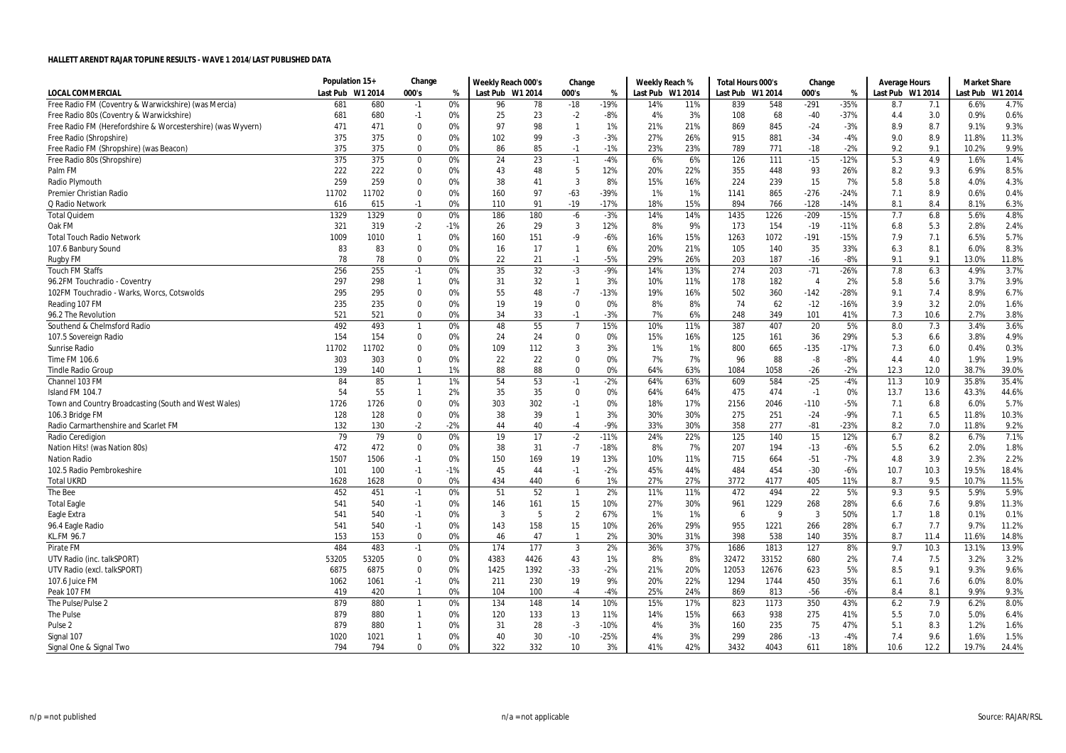|                                                             | Population 15+   |       | Change         |       | Weekly Reach 000's |      | Change         |        | Weekly Reach %   |     | Total Hours 000's |       | Change         |        | Average Hours    |      | <b>Market Share</b> |         |
|-------------------------------------------------------------|------------------|-------|----------------|-------|--------------------|------|----------------|--------|------------------|-----|-------------------|-------|----------------|--------|------------------|------|---------------------|---------|
| <b>LOCAL COMMERCIAL</b>                                     | Last Pub W1 2014 |       | 000's          | %     | Last Pub W1 2014   |      | 000's          | %      | Last Pub W1 2014 |     | Last Pub W1 2014  |       | 000's          | %      | Last Pub W1 2014 |      | Last Pub            | W1 2014 |
| Free Radio FM (Coventry & Warwickshire) (was Mercia)        | 681              | 680   | $-1$           | 0%    | 96                 | 78   | $-18$          | $-19%$ | 14%              | 11% | 839               | 548   | $-291$         | $-35%$ | 8.7              | 7.1  | 6.6%                | 4.7%    |
| Free Radio 80s (Coventry & Warwickshire)                    | 681              | 680   | $-1$           | 0%    | 25                 | 23   | $-2$           | $-8%$  | 4%               | 3%  | 108               | 68    | $-40$          | $-37%$ | 4.4              | 3.0  | 0.9%                | 0.6%    |
| Free Radio FM (Herefordshire & Worcestershire) (was Wyvern) | 471              | 471   | $\mathbf 0$    | 0%    | 97                 | 98   | $\overline{1}$ | 1%     | 21%              | 21% | 869               | 845   | $-24$          | $-3%$  | 8.9              | 8.7  | 9.1%                | 9.3%    |
| Free Radio (Shropshire)                                     | 375              | 375   | 0              | 0%    | 102                | 99   | $-3$           | $-3%$  | 27%              | 26% | 915               | 881   | $-34$          | $-4%$  | 9.0              | 8.9  | 11.8%               | 11.3%   |
| Free Radio FM (Shropshire) (was Beacon)                     | 375              | 375   | $\mathbf 0$    | 0%    | 86                 | 85   | $-1$           | $-1%$  | 23%              | 23% | 789               | 771   | $-18$          | $-2%$  | 9.2              | 9.1  | 10.2%               | 9.9%    |
| Free Radio 80s (Shropshire)                                 | 375              | 375   | $\mathbf 0$    | 0%    | 24                 | 23   | $-1$           | $-4%$  | 6%               | 6%  | 126               | 111   | $-15$          | $-12%$ | 5.3              | 4.9  | 1.6%                | 1.4%    |
| Palm FM                                                     | 222              | 222   | $\mathbf 0$    | 0%    | 43                 | 48   | 5              | 12%    | 20%              | 22% | 355               | 448   | 93             | 26%    | 8.2              | 9.3  | 6.9%                | 8.5%    |
| Radio Plymouth                                              | 259              | 259   | $\mathbf 0$    | 0%    | 38                 | 41   | $\mathbf{3}$   | 8%     | 15%              | 16% | 224               | 239   | 15             | 7%     | 5.8              | 5.8  | 4.0%                | 4.3%    |
| <b>Premier Christian Radio</b>                              | 11702            | 11702 | $\mathbf 0$    | 0%    | 160                | 97   | $-63$          | -39%   | 1%               | 1%  | 1141              | 865   | $-276$         | $-24%$ | 7.1              | 8.9  | 0.6%                | 0.4%    |
| Q Radio Network                                             | 616              | 615   | $-1$           | 0%    | 110                | 91   | $-19$          | $-17%$ | 18%              | 15% | 894               | 766   | $-128$         | $-14%$ | 8.1              | 8.4  | 8.1%                | 6.3%    |
| <b>Total Quidem</b>                                         | 1329             | 1329  | $\mathbf 0$    | 0%    | 186                | 180  | -6             | $-3%$  | 14%              | 14% | 1435              | 1226  | $-209$         | $-15%$ | 7.7              | 6.8  | 5.6%                | 4.8%    |
| Oak FM                                                      | 321              | 319   | $-2$           | $-1%$ | 26                 | 29   | $\overline{3}$ | 12%    | 8%               | 9%  | 173               | 154   | $-19$          | $-11%$ | 6.8              | 5.3  | 2.8%                | 2.4%    |
| <b>Total Touch Radio Network</b>                            | 1009             | 1010  | $\overline{1}$ | 0%    | 160                | 151  | -9             | $-6%$  | 16%              | 15% | 1263              | 1072  | $-191$         | $-15%$ | 7.9              | 7.1  | 6.5%                | 5.7%    |
| 107.6 Banbury Sound                                         | 83               | 83    | $\mathbf 0$    | 0%    | 16                 | 17   | $\mathbf{1}$   | 6%     | 20%              | 21% | 105               | 140   | 35             | 33%    | 6.3              | 8.1  | 6.0%                | 8.3%    |
| <b>Rugby FM</b>                                             | 78               | 78    | $\mathbf 0$    | 0%    | 22                 | 21   | $-1$           | $-5%$  | 29%              | 26% | 203               | 187   | $-16$          | $-8%$  | 9.1              | 9.1  | 13.0%               | 11.8%   |
| <b>Touch FM Staffs</b>                                      | 256              | 255   | $-1$           | 0%    | 35                 | 32   | $-3$           | $-9%$  | 14%              | 13% | 274               | 203   | $-71$          | $-26%$ | 7.8              | 6.3  | 4.9%                | 3.7%    |
| 96.2FM Touchradio - Coventry                                | 297              | 298   | $\overline{1}$ | 0%    | 31                 | 32   | $\mathbf{1}$   | 3%     | 10%              | 11% | 178               | 182   | $\overline{4}$ | 2%     | 5.8              | 5.6  | 3.7%                | 3.9%    |
| 102FM Touchradio - Warks, Worcs, Cotswolds                  | 295              | 295   | $\mathbf 0$    | 0%    | 55                 | 48   | $-7$           | -13%   | 19%              | 16% | 502               | 360   | $-142$         | $-28%$ | 9.1              | 7.4  | 8.9%                | 6.7%    |
| Reading 107 FM                                              | 235              | 235   | $\mathbf 0$    | 0%    | 19                 | 19   | $\mathbf 0$    | 0%     | 8%               | 8%  | 74                | 62    | $-12$          | $-16%$ | 3.9              | 3.2  | 2.0%                | 1.6%    |
| 96.2 The Revolution                                         | 521              | 521   | $\mathbf 0$    | 0%    | 34                 | 33   | $-1$           | $-3%$  | 7%               | 6%  | 248               | 349   | 101            | 41%    | 7.3              | 10.6 | 2.7%                | 3.8%    |
| Southend & Chelmsford Radio                                 | 492              | 493   | $\overline{1}$ | 0%    | 48                 | 55   | $\overline{7}$ | 15%    | 10%              | 11% | 387               | 407   | 20             | 5%     | 8.0              | 7.3  | 3.4%                | 3.6%    |
| 107.5 Sovereign Radio                                       | 154              | 154   | $\mathbf 0$    | 0%    | 24                 | 24   | 0              | 0%     | 15%              | 16% | 125               | 161   | 36             | 29%    | 5.3              | 6.6  | 3.8%                | 4.9%    |
| Sunrise Radio                                               | 11702            | 11702 | $\mathbf 0$    | 0%    | 109                | 112  | 3              | 3%     | 1%               | 1%  | 800               | 665   | $-135$         | $-17%$ | 7.3              | 6.0  | 0.4%                | 0.3%    |
| Time FM 106.6                                               | 303              | 303   | $\mathbf 0$    | 0%    | 22                 | 22   | $\mathbf 0$    | 0%     | 7%               | 7%  | 96                | 88    | $-8$           | $-8%$  | 4.4              | 4.0  | 1.9%                | 1.9%    |
| <b>Tindle Radio Group</b>                                   | 139              | 140   | $\overline{1}$ | 1%    | 88                 | 88   | $\mathbf 0$    | 0%     | 64%              | 63% | 1084              | 1058  | $-26$          | $-2%$  | 12.3             | 12.0 | 38.7%               | 39.0%   |
| Channel 103 FM                                              | 84               | 85    | $\overline{1}$ | 1%    | 54                 | 53   | $-1$           | $-2%$  | 64%              | 63% | 609               | 584   | $-25$          | $-4%$  | 11.3             | 10.9 | 35.8%               | 35.4%   |
| Island FM 104.7                                             | 54               | 55    | $\overline{1}$ | 2%    | 35                 | 35   | 0              | 0%     | 64%              | 64% | 475               | 474   | $-1$           | 0%     | 13.7             | 13.6 | 43.3%               | 44.6%   |
| Town and Country Broadcasting (South and West Wales)        | 1726             | 1726  | $\mathbf 0$    | 0%    | 303                | 302  | $-1$           | 0%     | 18%              | 17% | 2156              | 2046  | $-110$         | $-5%$  | 7.1              | 6.8  | 6.0%                | 5.7%    |
| 106.3 Bridge FM                                             | 128              | 128   | $\mathbf 0$    | 0%    | 38                 | 39   | $\mathbf{1}$   | 3%     | 30%              | 30% | 275               | 251   | $-24$          | $-9%$  | 7.1              | 6.5  | 11.8%               | 10.3%   |
| Radio Carmarthenshire and Scarlet FM                        | 132              | 130   | $-2$           | $-2%$ | 44                 | 40   | $-4$           | $-9%$  | 33%              | 30% | 358               | 277   | $-81$          | $-23%$ | 8.2              | 7.0  | 11.8%               | 9.2%    |
| Radio Ceredigion                                            | 79               | 79    | $\mathbf 0$    | 0%    | 19                 | 17   | $-2$           | $-11%$ | 24%              | 22% | 125               | 140   | 15             | 12%    | 6.7              | 8.2  | 6.7%                | 7.1%    |
| Nation Hits! (was Nation 80s)                               | 472              | 472   | $\mathbf 0$    | 0%    | 38                 | 31   | $-7$           | -18%   | 8%               | 7%  | 207               | 194   | $-13$          | $-6%$  | 5.5              | 6.2  | 2.0%                | 1.8%    |
| <b>Nation Radio</b>                                         | 1507             | 1506  | $-1$           | 0%    | 150                | 169  | 19             | 13%    | 10%              | 11% | 715               | 664   | $-51$          | $-7%$  | 4.8              | 3.9  | 2.3%                | 2.2%    |
| 102.5 Radio Pembrokeshire                                   | 101              | 100   | $-1$           | $-1%$ | 45                 | 44   | $-1$           | $-2%$  | 45%              | 44% | 484               | 454   | $-30$          | $-6%$  | 10.7             | 10.3 | 19.5%               | 18.4%   |
| <b>Total UKRD</b>                                           | 1628             | 1628  | $\mathbf 0$    | 0%    | 434                | 440  | 6              | 1%     | 27%              | 27% | 3772              | 4177  | 405            | 11%    | 8.7              | 9.5  | 10.7%               | 11.5%   |
| The Bee                                                     | 452              | 451   | $-1$           | 0%    | 51                 | 52   | $\overline{1}$ | 2%     | 11%              | 11% | 472               | 494   | 22             | 5%     | 9.3              | 9.5  | 5.9%                | 5.9%    |
| <b>Total Eagle</b>                                          | 541              | 540   | $-1$           | 0%    | 146                | 161  | 15             | 10%    | 27%              | 30% | 961               | 1229  | 268            | 28%    | 6.6              | 7.6  | 9.8%                | 11.3%   |
| Eagle Extra                                                 | 541              | 540   | $-1$           | 0%    | 3                  | 5    | $\overline{2}$ | 67%    | 1%               | 1%  | 6                 | 9     | $\overline{3}$ | 50%    | 1.7              | 1.8  | 0.1%                | 0.1%    |
| 96.4 Eagle Radio                                            | 541              | 540   | $-1$           | 0%    | 143                | 158  | 15             | 10%    | 26%              | 29% | 955               | 1221  | 266            | 28%    | 6.7              | 7.7  | 9.7%                | 11.2%   |
| KL.FM 96.7                                                  | 153              | 153   | $\mathbf 0$    | 0%    | 46                 | 47   | $\overline{1}$ | 2%     | 30%              | 31% | 398               | 538   | 140            | 35%    | 8.7              | 11.4 | 11.6%               | 14.8%   |
| Pirate FM                                                   | 484              | 483   | $-1$           | 0%    | 174                | 177  | $\mathbf{3}$   | 2%     | 36%              | 37% | 1686              | 1813  | 127            | 8%     | 9.7              | 10.3 | 13.1%               | 13.9%   |
| UTV Radio (inc. talkSPORT)                                  | 53205            | 53205 | $\mathbf 0$    | 0%    | 4383               | 4426 | 43             | 1%     | 8%               | 8%  | 32472             | 33152 | 680            | 2%     | 7.4              | 7.5  | 3.2%                | 3.2%    |
| UTV Radio (excl. talkSPORT)                                 | 6875             | 6875  | $\mathbf 0$    | 0%    | 1425               | 1392 | $-33$          | $-2%$  | 21%              | 20% | 12053             | 12676 | 623            | 5%     | 8.5              | 9.1  | 9.3%                | 9.6%    |
| 107.6 Juice FM                                              | 1062             | 1061  | $-1$           | 0%    | 211                | 230  | 19             | 9%     | 20%              | 22% | 1294              | 1744  | 450            | 35%    | 6.1              | 7.6  | 6.0%                | 8.0%    |
| Peak 107 FM                                                 | 419              | 420   | $\overline{1}$ | 0%    | 104                | 100  | $-4$           | $-4%$  | 25%              | 24% | 869               | 813   | $-56$          | $-6%$  | 8.4              | 8.1  | 9.9%                | 9.3%    |
| The Pulse/Pulse 2                                           | 879              | 880   | $\overline{1}$ | 0%    | 134                | 148  | 14             | 10%    | 15%              | 17% | 823               | 1173  | 350            | 43%    | 6.2              | 7.9  | 6.2%                | 8.0%    |
| <b>The Pulse</b>                                            | 879              | 880   | $\mathbf{1}$   | 0%    | 120                | 133  | 13             | 11%    | 14%              | 15% | 663               | 938   | 275            | 41%    | 5.5              | 7.0  | 5.0%                | 6.4%    |
| Pulse <sub>2</sub>                                          | 879              | 880   | $\mathbf{1}$   | 0%    | 31                 | 28   | $-3$           | -10%   | 4%               | 3%  | 160               | 235   | 75             | 47%    | 5.1              | 8.3  | 1.2%                | 1.6%    |
| Signal 107                                                  | 1020             | 1021  | $\mathbf{1}$   | 0%    | 40                 | 30   | $-10$          | $-25%$ | 4%               | 3%  | 299               | 286   | $-13$          | $-4%$  | 7.4              | 9.6  | 1.6%                | 1.5%    |
| Signal One & Signal Two                                     | 794              | 794   | $\mathbf{0}$   | 0%    | 322                | 332  | 10             | 3%     | 41%              | 42% | 3432              | 4043  | 611            | 18%    | 10.6             | 12.2 | 19.7%               | 24.4%   |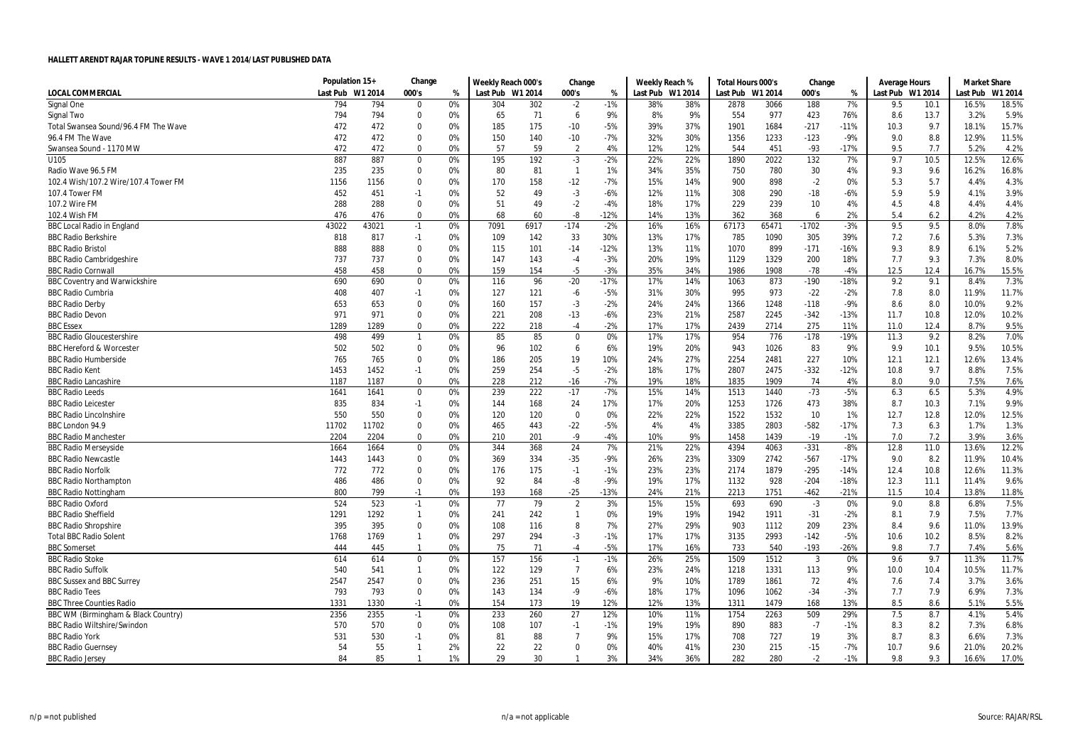|                                      | Population 15+ |         | Change         |    | Weekly Reach 000's |      | Change         |        | Weekly Reach % |                  | Total Hours 000's |       | Change         |        | <b>Average Hours</b> |      | <b>Market Share</b> |         |
|--------------------------------------|----------------|---------|----------------|----|--------------------|------|----------------|--------|----------------|------------------|-------------------|-------|----------------|--------|----------------------|------|---------------------|---------|
| LOCAL COMMERCIAL                     | Last Pub       | W1 2014 | 000's          | %  | Last Pub W1 2014   |      | 000's          | %      |                | Last Pub W1 2014 | Last Pub W1 2014  |       | 000's          | %      | Last Pub W1 2014     |      | Last Pub            | W1 2014 |
| Signal One                           | 794            | 794     | $\Omega$       | 0% | 304                | 302  | $-2$           | $-1%$  | 38%            | 38%              | 2878              | 3066  | 188            | 7%     | 9.5                  | 10.1 | 16.5%               | 18.5%   |
| Signal Two                           | 794            | 794     | $\mathbf 0$    | 0% | 65                 | 71   | 6              | 9%     | 8%             | 9%               | 554               | 977   | 423            | 76%    | 8.6                  | 13.7 | 3.2%                | 5.9%    |
| Total Swansea Sound/96.4 FM The Wave | 472            | 472     | $\mathbf 0$    | 0% | 185                | 175  | $-10$          | $-5%$  | 39%            | 37%              | 1901              | 1684  | $-217$         | $-11%$ | 10.3                 | 9.7  | 18.1%               | 15.7%   |
| 96.4 FM The Wave                     | 472            | 472     | $\Omega$       | 0% | 150                | 140  | $-10$          | $-7%$  | 32%            | 30%              | 1356              | 1233  | $-123$         | $-9%$  | 9.0                  | 8.8  | 12.9%               | 11.5%   |
| Swansea Sound - 1170 MW              | 472            | 472     | $\mathbf 0$    | 0% | 57                 | 59   | $\overline{2}$ | 4%     | 12%            | 12%              | 544               | 451   | $-93$          | $-17%$ | 9.5                  | 7.7  | 5.2%                | 4.2%    |
| U105                                 | 887            | 887     | $\mathbf 0$    | 0% | 195                | 192  | $-3$           | $-2%$  | 22%            | 22%              | 1890              | 2022  | 132            | 7%     | 9.7                  | 10.5 | 12.5%               | 12.6%   |
| Radio Wave 96.5 FM                   | 235            | 235     | $\mathbf 0$    | 0% | 80                 | 81   | $\overline{1}$ | 1%     | 34%            | 35%              | 750               | 780   | 30             | 4%     | 9.3                  | 9.6  | 16.2%               | 16.8%   |
| 102.4 Wish/107.2 Wire/107.4 Tower FM | 1156           | 1156    | $\mathbf 0$    | 0% | 170                | 158  | $-12$          | $-7%$  | 15%            | 14%              | 900               | 898   | $-2$           | 0%     | 5.3                  | 5.7  | 4.4%                | 4.3%    |
| 107.4 Tower FM                       | 452            | 451     | $-1$           | 0% | 52                 | 49   | $-3$           | $-6%$  | 12%            | 11%              | 308               | 290   | $-18$          | $-6%$  | 5.9                  | 5.9  | 4.1%                | 3.9%    |
| 107.2 Wire FM                        | 288            | 288     | $\Omega$       | 0% | 51                 | 49   | $-2$           | $-4%$  | 18%            | 17%              | 229               | 239   | 10             | 4%     | 4.5                  | 4.8  | 4.4%                | 4.4%    |
| 102.4 Wish FM                        | 476            | 476     | $\mathbf 0$    | 0% | 68                 | 60   | -8             | $-12%$ | 14%            | 13%              | 362               | 368   | 6              | 2%     | 5.4                  | 6.2  | 4.2%                | 4.2%    |
| <b>BBC Local Radio in England</b>    | 43022          | 43021   | $-1$           | 0% | 7091               | 6917 | $-174$         | $-2%$  | 16%            | 16%              | 67173             | 65471 | $-1702$        | $-3%$  | 9.5                  | 9.5  | 8.0%                | 7.8%    |
| <b>BBC Radio Berkshire</b>           | 818            | 817     | $-1$           | 0% | 109                | 142  | 33             | 30%    | 13%            | 17%              | 785               | 1090  | 305            | 39%    | 7.2                  | 7.6  | 5.3%                | 7.3%    |
| <b>BBC Radio Bristol</b>             | 888            | 888     | $\Omega$       | 0% | 115                | 101  | $-14$          | $-12%$ | 13%            | 11%              | 1070              | 899   | $-171$         | $-16%$ | 9.3                  | 8.9  | 6.1%                | 5.2%    |
| <b>BBC Radio Cambridgeshire</b>      | 737            | 737     | $\mathbf 0$    | 0% | 147                | 143  | $-4$           | $-3%$  | 20%            | 19%              | 1129              | 1329  | 200            | 18%    | 7.7                  | 9.3  | 7.3%                | 8.0%    |
| <b>BBC Radio Cornwall</b>            | 458            | 458     | $\mathbf 0$    | 0% | 159                | 154  | $-5$           | $-3%$  | 35%            | 34%              | 1986              | 1908  | $-78$          | $-4%$  | 12.5                 | 12.4 | 16.7%               | 15.5%   |
| <b>BBC Coventry and Warwickshire</b> | 690            | 690     | $\mathbf 0$    | 0% | 116                | 96   | $-20$          | $-17%$ | 17%            | 14%              | 1063              | 873   | $-190$         | $-18%$ | 9.2                  | 9.1  | 8.4%                | 7.3%    |
| <b>BBC Radio Cumbria</b>             | 408            | 407     | $-1$           | 0% | 127                | 121  | -6             | $-5%$  | 31%            | 30%              | 995               | 973   | $-22$          | $-2%$  | 7.8                  | 8.0  | 11.9%               | 11.7%   |
| <b>BBC Radio Derby</b>               | 653            | 653     | $\Omega$       | 0% | 160                | 157  | $-3$           | $-2%$  | 24%            | 24%              | 1366              | 1248  | $-118$         | $-9%$  | 8.6                  | 8.0  | 10.0%               | 9.2%    |
| <b>BBC Radio Devon</b>               | 971            | 971     | $\mathbf 0$    | 0% | 221                | 208  | $-13$          | $-6%$  | 23%            | 21%              | 2587              | 2245  | $-342$         | $-13%$ | 11.7                 | 10.8 | 12.0%               | 10.2%   |
| <b>BBC Essex</b>                     | 1289           | 1289    | $\mathbf 0$    | 0% | 222                | 218  | $-4$           | $-2%$  | 17%            | 17%              | 2439              | 2714  | 275            | 11%    | 11.0                 | 12.4 | 8.7%                | 9.5%    |
| <b>BBC Radio Gloucestershire</b>     | 498            | 499     | $\overline{1}$ | 0% | 85                 | 85   | $\mathbf 0$    | 0%     | 17%            | 17%              | 954               | 776   | $-178$         | $-19%$ | 11.3                 | 9.2  | 8.2%                | 7.0%    |
| <b>BBC Hereford &amp; Worcester</b>  | 502            | 502     | $\mathbf 0$    | 0% | 96                 | 102  | 6              | 6%     | 19%            | 20%              | 943               | 1026  | 83             | 9%     | 9.9                  | 10.1 | 9.5%                | 10.5%   |
| <b>BBC Radio Humberside</b>          | 765            | 765     | $\Omega$       | 0% | 186                | 205  | 19             | 10%    | 24%            | 27%              | 2254              | 2481  | 227            | 10%    | 12.1                 | 12.1 | 12.6%               | 13.4%   |
| <b>BBC Radio Kent</b>                | 1453           | 1452    | $-1$           | 0% | 259                | 254  | $-5$           | $-2%$  | 18%            | 17%              | 2807              | 2475  | $-332$         | $-12%$ | 10.8                 | 9.7  | 8.8%                | 7.5%    |
| <b>BBC Radio Lancashire</b>          | 1187           | 1187    | $\mathbf 0$    | 0% | 228                | 212  | -16            | $-7%$  | 19%            | 18%              | 1835              | 1909  | 74             | 4%     | 8.0                  | 9.0  | 7.5%                | 7.6%    |
| <b>BBC Radio Leeds</b>               | 1641           | 1641    | $\mathbf 0$    | 0% | 239                | 222  | $-17$          | $-7%$  | 15%            | 14%              | 1513              | 1440  | $-73$          | $-5%$  | 6.3                  | 6.5  | 5.3%                | 4.9%    |
| <b>BBC Radio Leicester</b>           | 835            | 834     | $-1$           | 0% | 144                | 168  | 24             | 17%    | 17%            | 20%              | 1253              | 1726  | 473            | 38%    | 8.7                  | 10.3 | 7.1%                | 9.9%    |
| <b>BBC Radio Lincolnshire</b>        | 550            | 550     | $\mathbf 0$    | 0% | 120                | 120  | $\bm{0}$       | 0%     | 22%            | 22%              | 1522              | 1532  | 10             | 1%     | 12.7                 | 12.8 | 12.0%               | 12.5%   |
| BBC London 94.9                      | 11702          | 11702   | $\mathbf 0$    | 0% | 465                | 443  | $-22$          | $-5%$  | 4%             | 4%               | 3385              | 2803  | $-582$         | $-17%$ | 7.3                  | 6.3  | 1.7%                | 1.3%    |
| <b>BBC Radio Manchester</b>          | 2204           | 2204    | $\mathbf 0$    | 0% | 210                | 201  | $-9$           | $-4%$  | 10%            | 9%               | 1458              | 1439  | $-19$          | $-1%$  | 7.0                  | 7.2  | 3.9%                | 3.6%    |
| <b>BBC Radio Merseyside</b>          | 1664           | 1664    | $\pmb{0}$      | 0% | 344                | 368  | 24             | 7%     | 21%            | 22%              | 4394              | 4063  | $-331$         | $-8%$  | 12.8                 | 11.0 | 13.6%               | 12.2%   |
| <b>BBC Radio Newcastle</b>           | 1443           | 1443    | $\mathbf 0$    | 0% | 369                | 334  | $-35$          | $-9%$  | 26%            | 23%              | 3309              | 2742  | $-567$         | $-17%$ | 9.0                  | 8.2  | 11.9%               | 10.4%   |
| <b>BBC Radio Norfolk</b>             | 772            | 772     | 0              | 0% | 176                | 175  | $-1$           | $-1%$  | 23%            | 23%              | 2174              | 1879  | $-295$         | $-14%$ | 12.4                 | 10.8 | 12.6%               | 11.3%   |
| <b>BBC Radio Northampton</b>         | 486            | 486     | $\mathbf 0$    | 0% | 92                 | 84   | -8             | $-9%$  | 19%            | 17%              | 1132              | 928   | $-204$         | $-18%$ | 12.3                 | 11.1 | 11.4%               | 9.6%    |
| <b>BBC Radio Nottingham</b>          | 800            | 799     | $-1$           | 0% | 193                | 168  | $-25$          | -13%   | 24%            | 21%              | 2213              | 1751  | $-462$         | $-21%$ | 11.5                 | 10.4 | 13.8%               | 11.8%   |
| <b>BBC Radio Oxford</b>              | 524            | 523     | $-1$           | 0% | 77                 | 79   | $\overline{2}$ | 3%     | 15%            | 15%              | 693               | 690   | $-3$           | 0%     | 9.0                  | 8.8  | 6.8%                | 7.5%    |
| <b>BBC Radio Sheffield</b>           | 1291           | 1292    | $\overline{1}$ | 0% | 241                | 242  | $\mathbf{1}$   | 0%     | 19%            | 19%              | 1942              | 1911  | $-31$          | $-2%$  | 8.1                  | 7.9  | 7.5%                | 7.7%    |
| <b>BBC Radio Shropshire</b>          | 395            | 395     | $\mathbf 0$    | 0% | 108                | 116  | 8              | 7%     | 27%            | 29%              | 903               | 1112  | 209            | 23%    | 8.4                  | 9.6  | 11.0%               | 13.9%   |
| <b>Total BBC Radio Solent</b>        | 1768           | 1769    | $\overline{1}$ | 0% | 297                | 294  | $-3$           | $-1%$  | 17%            | 17%              | 3135              | 2993  | $-142$         | $-5%$  | 10.6                 | 10.2 | 8.5%                | 8.2%    |
| <b>BBC Somerset</b>                  | 444            | 445     | $\overline{1}$ | 0% | 75                 | 71   | $-4$           | $-5%$  | 17%            | 16%              | 733               | 540   | $-193$         | $-26%$ | 9.8                  | 7.7  | 7.4%                | 5.6%    |
| <b>BBC Radio Stoke</b>               | 614            | 614     | $\mathbf 0$    | 0% | 157                | 156  | $-1$           | $-1%$  | 26%            | 25%              | 1509              | 1512  | $\overline{3}$ | 0%     | 9.6                  | 9.7  | 11.3%               | 11.7%   |
| <b>BBC Radio Suffolk</b>             | 540            | 541     | $\overline{1}$ | 0% | 122                | 129  | $\overline{7}$ | 6%     | 23%            | 24%              | 1218              | 1331  | 113            | 9%     | 10.0                 | 10.4 | 10.5%               | 11.7%   |
| <b>BBC Sussex and BBC Surrey</b>     | 2547           | 2547    | $\mathbf 0$    | 0% | 236                | 251  | 15             | 6%     | 9%             | 10%              | 1789              | 1861  | 72             | 4%     | 7.6                  | 7.4  | 3.7%                | 3.6%    |
| <b>BBC Radio Tees</b>                | 793            | 793     | $\mathbf 0$    | 0% | 143                | 134  | -9             | $-6%$  | 18%            | 17%              | 1096              | 1062  | $-34$          | $-3%$  | 7.7                  | 7.9  | 6.9%                | 7.3%    |
| <b>BBC Three Counties Radio</b>      | 1331           | 1330    | $-1$           | 0% | 154                | 173  | 19             | 12%    | 12%            | 13%              | 1311              | 1479  | 168            | 13%    | 8.5                  | 8.6  | 5.1%                | 5.5%    |
| BBC WM (Birmingham & Black Country)  | 2356           | 2355    | $-1$           | 0% | 233                | 260  | 27             | 12%    | 10%            | 11%              | 1754              | 2263  | 509            | 29%    | 7.5                  | 8.7  | 4.1%                | 5.4%    |
| <b>BBC Radio Wiltshire/Swindon</b>   | 570            | 570     | $\mathbf 0$    | 0% | 108                | 107  | $-1$           | $-1%$  | 19%            | 19%              | 890               | 883   | $-7$           | $-1%$  | 8.3                  | 8.2  | 7.3%                | 6.8%    |
| <b>BBC Radio York</b>                | 531            | 530     | $-1$           | 0% | 81                 | 88   | $\overline{7}$ | 9%     | 15%            | 17%              | 708               | 727   | 19             | 3%     | 8.7                  | 8.3  | 6.6%                | 7.3%    |
| <b>BBC Radio Guernsey</b>            | 54             | 55      | $\mathbf{1}$   | 2% | 22                 | 22   | 0              | 0%     | 40%            | 41%              | 230               | 215   | $-15$          | $-7%$  | 10.7                 | 9.6  | 21.0%               | 20.2%   |
| <b>BBC Radio Jersey</b>              | 84             | 85      | $\mathbf{1}$   | 1% | 29                 | 30   | $\mathbf{1}$   | 3%     | 34%            | 36%              | 282               | 280   | $-2$           | $-1%$  | 9.8                  | 9.3  | 16.6%               | 17.0%   |